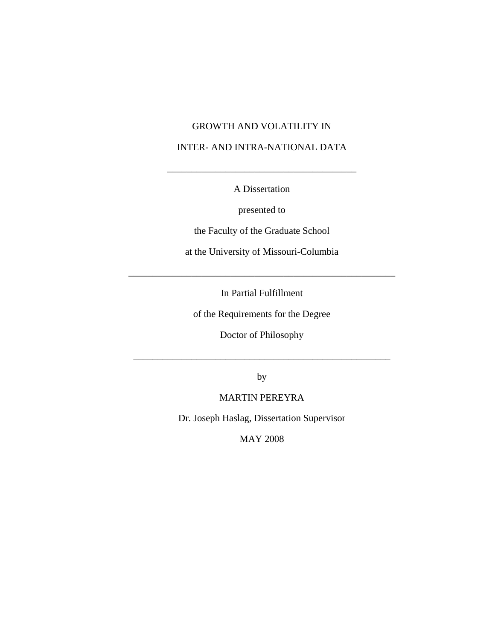## GROWTH AND VOLATILITY IN

## INTER- AND INTRA-NATIONAL DATA

A Dissertation

\_\_\_\_\_\_\_\_\_\_\_\_\_\_\_\_\_\_\_\_\_\_\_\_\_\_\_\_\_\_\_\_\_\_\_\_\_\_\_

presented to

the Faculty of the Graduate School

at the University of Missouri-Columbia

In Partial Fulfillment

\_\_\_\_\_\_\_\_\_\_\_\_\_\_\_\_\_\_\_\_\_\_\_\_\_\_\_\_\_\_\_\_\_\_\_\_\_\_\_\_\_\_\_\_\_\_\_\_\_\_\_\_\_\_\_

of the Requirements for the Degree

Doctor of Philosophy

by

\_\_\_\_\_\_\_\_\_\_\_\_\_\_\_\_\_\_\_\_\_\_\_\_\_\_\_\_\_\_\_\_\_\_\_\_\_\_\_\_\_\_\_\_\_\_\_\_\_\_\_\_\_

## MARTIN PEREYRA

Dr. Joseph Haslag, Dissertation Supervisor

MAY 2008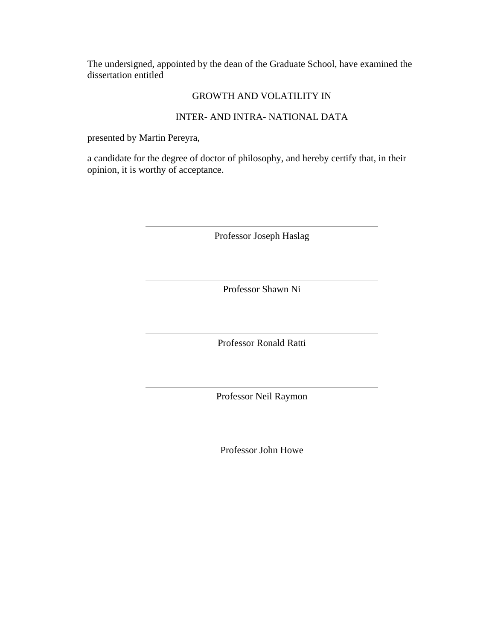The undersigned, appointed by the dean of the Graduate School, have examined the dissertation entitled

## GROWTH AND VOLATILITY IN

## INTER- AND INTRA- NATIONAL DATA

presented by Martin Pereyra,

a candidate for the degree of doctor of philosophy, and hereby certify that, in their opinion, it is worthy of acceptance.

Professor Joseph Haslag

Professor Shawn Ni

Professor Ronald Ratti

Professor Neil Raymon

Professor John Howe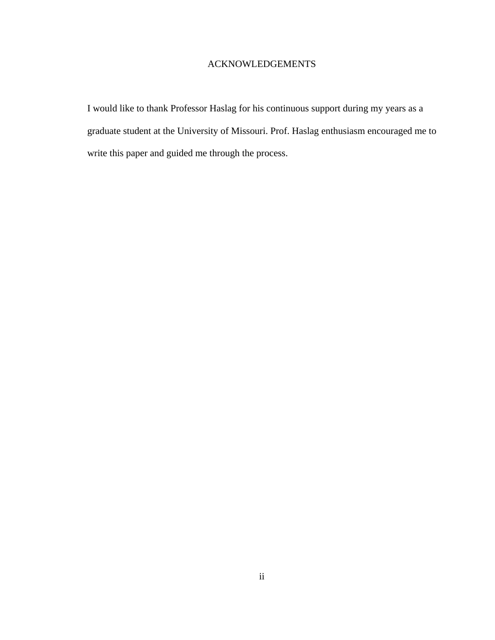## ACKNOWLEDGEMENTS

I would like to thank Professor Haslag for his continuous support during my years as a graduate student at the University of Missouri. Prof. Haslag enthusiasm encouraged me to write this paper and guided me through the process.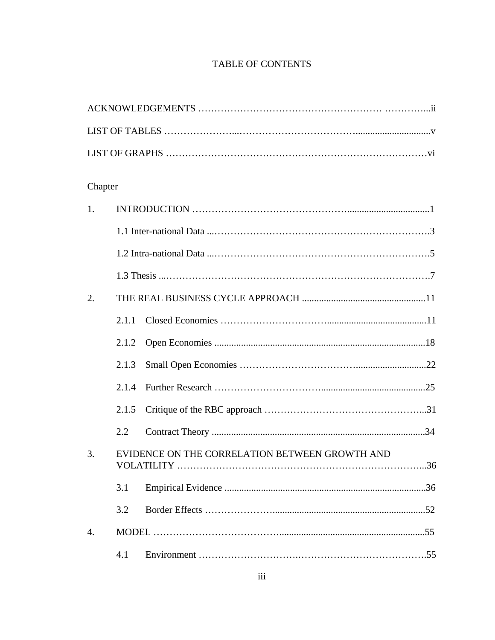## TABLE OF CONTENTS

ACKNOWLEDGEMENTS ………………………………………………… …………...ii

| Chapter          |       |                                                |  |
|------------------|-------|------------------------------------------------|--|
| 1.               |       |                                                |  |
|                  |       |                                                |  |
|                  |       |                                                |  |
|                  |       |                                                |  |
| 2.               |       |                                                |  |
|                  | 2.1.1 |                                                |  |
|                  | 2.1.2 |                                                |  |
|                  | 2.1.3 |                                                |  |
|                  | 2.1.4 |                                                |  |
|                  | 2.1.5 |                                                |  |
|                  | 2.2   |                                                |  |
| 3.               |       | EVIDENCE ON THE CORRELATION BETWEEN GROWTH AND |  |
|                  | 3.1   |                                                |  |
|                  | 3.2   |                                                |  |
| $\overline{4}$ . |       |                                                |  |
|                  | 4.1   |                                                |  |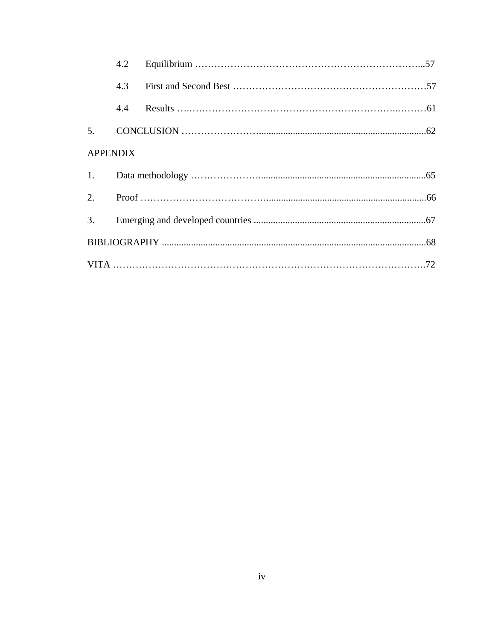|                 | 4.2 |  |  |
|-----------------|-----|--|--|
|                 | 4.3 |  |  |
|                 | 4.4 |  |  |
|                 |     |  |  |
| <b>APPENDIX</b> |     |  |  |
|                 |     |  |  |
|                 |     |  |  |
|                 |     |  |  |
|                 |     |  |  |
|                 |     |  |  |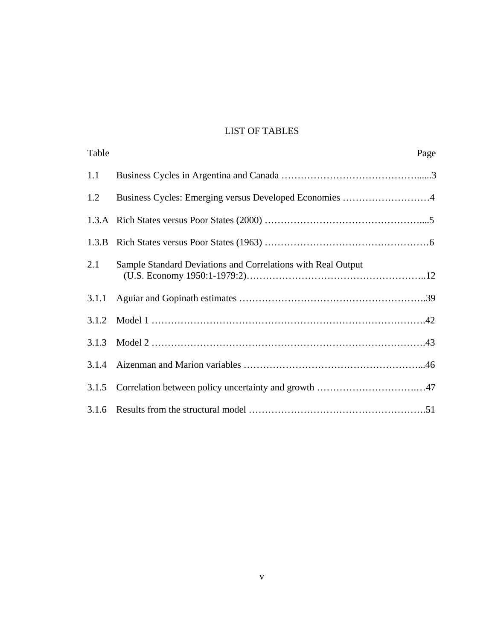## LIST OF TABLES

| Table |                                                              | Page |
|-------|--------------------------------------------------------------|------|
| 1.1   |                                                              |      |
| 1.2   | Business Cycles: Emerging versus Developed Economies 4       |      |
|       |                                                              |      |
|       |                                                              |      |
| 2.1   | Sample Standard Deviations and Correlations with Real Output |      |
|       |                                                              |      |
|       |                                                              |      |
| 3.1.3 |                                                              |      |
| 3.1.4 |                                                              |      |
|       |                                                              |      |
|       |                                                              |      |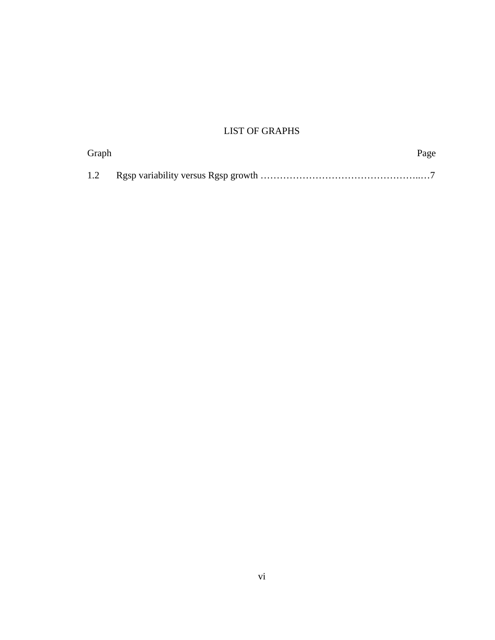# LIST OF GRAPHS

| Graph | Page |
|-------|------|
|       |      |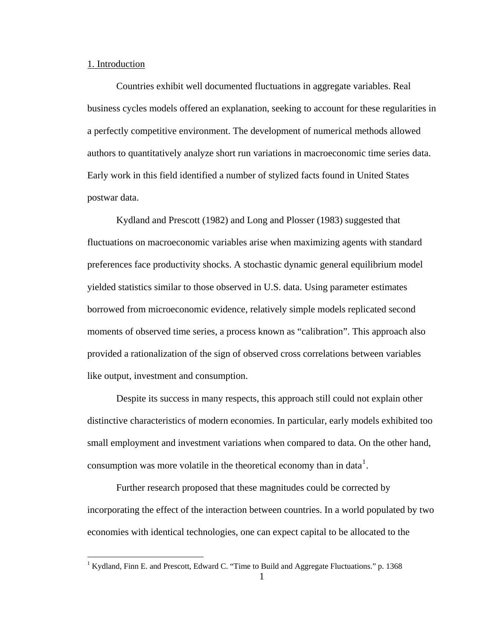#### 1. Introduction

 $\overline{a}$ 

 Countries exhibit well documented fluctuations in aggregate variables. Real business cycles models offered an explanation, seeking to account for these regularities in a perfectly competitive environment. The development of numerical methods allowed authors to quantitatively analyze short run variations in macroeconomic time series data. Early work in this field identified a number of stylized facts found in United States postwar data.

 Kydland and Prescott (1982) and Long and Plosser (1983) suggested that fluctuations on macroeconomic variables arise when maximizing agents with standard preferences face productivity shocks. A stochastic dynamic general equilibrium model yielded statistics similar to those observed in U.S. data. Using parameter estimates borrowed from microeconomic evidence, relatively simple models replicated second moments of observed time series, a process known as "calibration". This approach also provided a rationalization of the sign of observed cross correlations between variables like output, investment and consumption.

 Despite its success in many respects, this approach still could not explain other distinctive characteristics of modern economies. In particular, early models exhibited too small employment and investment variations when compared to data. On the other hand, consumption was more volatile in the theoretical economy than in data<sup>[1](#page-7-0)</sup>.

 Further research proposed that these magnitudes could be corrected by incorporating the effect of the interaction between countries. In a world populated by two economies with identical technologies, one can expect capital to be allocated to the

<span id="page-7-0"></span><sup>&</sup>lt;sup>1</sup> Kydland, Finn E. and Prescott, Edward C. "Time to Build and Aggregate Fluctuations." p. 1368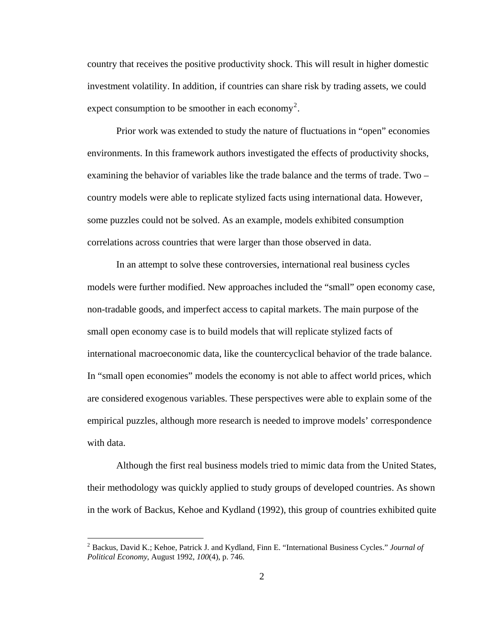country that receives the positive productivity shock. This will result in higher domestic investment volatility. In addition, if countries can share risk by trading assets, we could expect consumption to be smoother in each economy<sup>[2](#page-8-0)</sup>.

 Prior work was extended to study the nature of fluctuations in "open" economies environments. In this framework authors investigated the effects of productivity shocks, examining the behavior of variables like the trade balance and the terms of trade. Two – country models were able to replicate stylized facts using international data. However, some puzzles could not be solved. As an example, models exhibited consumption correlations across countries that were larger than those observed in data.

 In an attempt to solve these controversies, international real business cycles models were further modified. New approaches included the "small" open economy case, non-tradable goods, and imperfect access to capital markets. The main purpose of the small open economy case is to build models that will replicate stylized facts of international macroeconomic data, like the countercyclical behavior of the trade balance. In "small open economies" models the economy is not able to affect world prices, which are considered exogenous variables. These perspectives were able to explain some of the empirical puzzles, although more research is needed to improve models' correspondence with data.

 Although the first real business models tried to mimic data from the United States, their methodology was quickly applied to study groups of developed countries. As shown in the work of Backus, Kehoe and Kydland (1992), this group of countries exhibited quite

<span id="page-8-0"></span><sup>2</sup> Backus, David K.; Kehoe, Patrick J. and Kydland, Finn E. "International Business Cycles." *Journal of Political Economy*, August 1992, *100*(4), p. 746.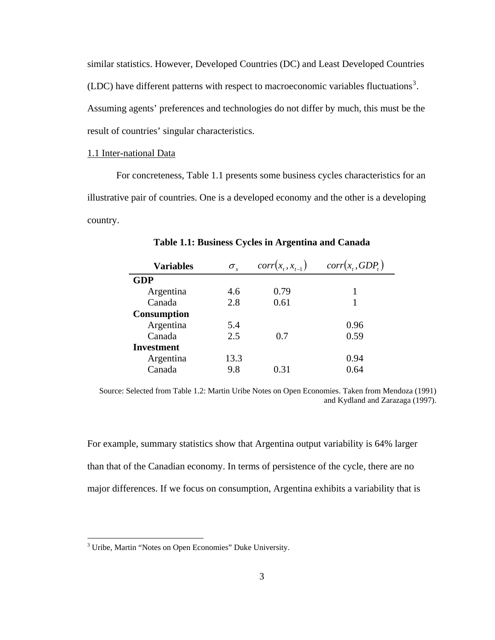similar statistics. However, Developed Countries (DC) and Least Developed Countries (LDC) have different patterns with respect to macroeconomic variables fluctuations<sup>[3](#page-9-0)</sup>. Assuming agents' preferences and technologies do not differ by much, this must be the result of countries' singular characteristics.

#### 1.1 Inter-national Data

 For concreteness, Table 1.1 presents some business cycles characteristics for an illustrative pair of countries. One is a developed economy and the other is a developing country.

| <b>Variables</b>   | $\sigma_{\rm r}$ | $corr(x_{t}, x_{t-1})$ | $corr(x_t, GDP_t)$ |
|--------------------|------------------|------------------------|--------------------|
| <b>GDP</b>         |                  |                        |                    |
| Argentina          | 4.6              | 0.79                   |                    |
| Canada             | 2.8              | 0.61                   |                    |
| <b>Consumption</b> |                  |                        |                    |
| Argentina          | 5.4              |                        | 0.96               |
| Canada             | 2.5              | 0.7                    | 0.59               |
| Investment         |                  |                        |                    |
| Argentina          | 13.3             |                        | 0.94               |
| Canada             | 9.8              | 0 31                   | 0.64               |

**Table 1.1: Business Cycles in Argentina and Canada** 

Source: Selected from Table 1.2: Martin Uribe Notes on Open Economies. Taken from Mendoza (1991) and Kydland and Zarazaga (1997).

For example, summary statistics show that Argentina output variability is 64% larger than that of the Canadian economy. In terms of persistence of the cycle, there are no major differences. If we focus on consumption, Argentina exhibits a variability that is

<span id="page-9-0"></span> 3 Uribe, Martin "Notes on Open Economies" Duke University.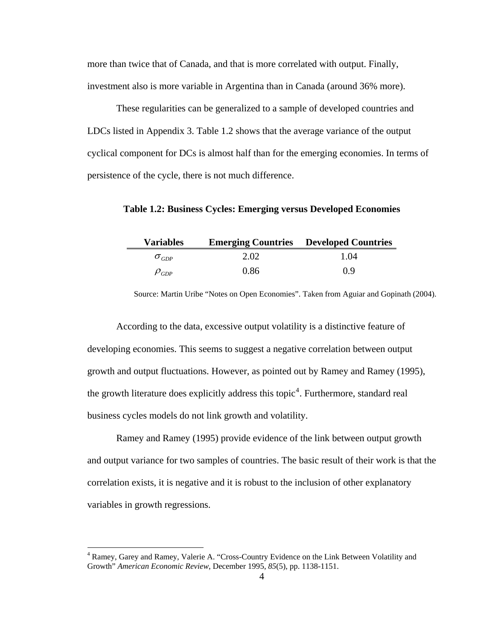more than twice that of Canada, and that is more correlated with output. Finally, investment also is more variable in Argentina than in Canada (around 36% more).

 These regularities can be generalized to a sample of developed countries and LDCs listed in Appendix 3. Table 1.2 shows that the average variance of the output cyclical component for DCs is almost half than for the emerging economies. In terms of persistence of the cycle, there is not much difference.

**Table 1.2: Business Cycles: Emerging versus Developed Economies** 

| <b>Variables</b> |      | <b>Emerging Countries</b> Developed Countries |
|------------------|------|-----------------------------------------------|
| $O_{GDP}$        | 2.02 | 1.04                                          |
| $\rho_{GDP}$     | 0.86 | 09                                            |

Source: Martin Uribe "Notes on Open Economies". Taken from Aguiar and Gopinath (2004).

According to the data, excessive output volatility is a distinctive feature of developing economies. This seems to suggest a negative correlation between output growth and output fluctuations. However, as pointed out by Ramey and Ramey (1995), the growth literature does explicitly address this topic<sup>[4](#page-10-0)</sup>. Furthermore, standard real business cycles models do not link growth and volatility.

Ramey and Ramey (1995) provide evidence of the link between output growth and output variance for two samples of countries. The basic result of their work is that the correlation exists, it is negative and it is robust to the inclusion of other explanatory variables in growth regressions.

<span id="page-10-0"></span><sup>&</sup>lt;sup>4</sup> Ramey, Garey and Ramey, Valerie A. "Cross-Country Evidence on the Link Between Volatility and Growth" *American Economic Review*, December 1995, *85*(5), pp. 1138-1151.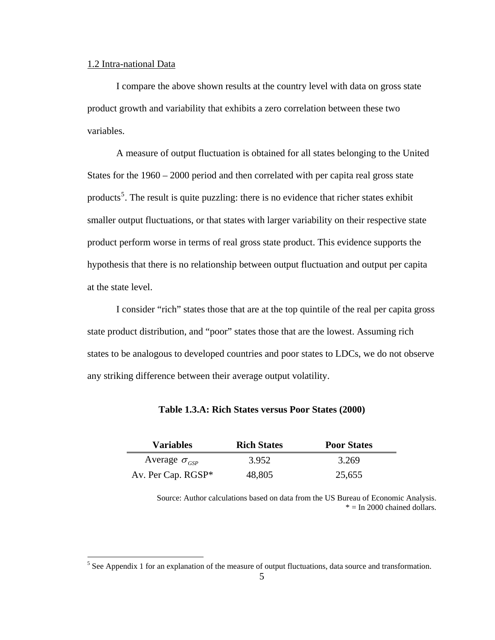#### 1.2 Intra-national Data

I compare the above shown results at the country level with data on gross state product growth and variability that exhibits a zero correlation between these two variables.

A measure of output fluctuation is obtained for all states belonging to the United States for the 1960 – 2000 period and then correlated with per capita real gross state products<sup>[5](#page-11-0)</sup>. The result is quite puzzling: there is no evidence that richer states exhibit smaller output fluctuations, or that states with larger variability on their respective state product perform worse in terms of real gross state product. This evidence supports the hypothesis that there is no relationship between output fluctuation and output per capita at the state level.

 I consider "rich" states those that are at the top quintile of the real per capita gross state product distribution, and "poor" states those that are the lowest. Assuming rich states to be analogous to developed countries and poor states to LDCs, we do not observe any striking difference between their average output volatility.

| <b>Variables</b>       | <b>Rich States</b> | <b>Poor States</b> |
|------------------------|--------------------|--------------------|
| Average $\sigma_{cSP}$ | 3.952              | 3.269              |
| Av. Per Cap. RGSP*     | 48,805             | 25,655             |

**Table 1.3.A: Rich States versus Poor States (2000)** 

Source: Author calculations based on data from the US Bureau of Economic Analysis.  $* = In 2000$  chained dollars.

<span id="page-11-0"></span><sup>&</sup>lt;sup>5</sup> See Appendix 1 for an explanation of the measure of output fluctuations, data source and transformation.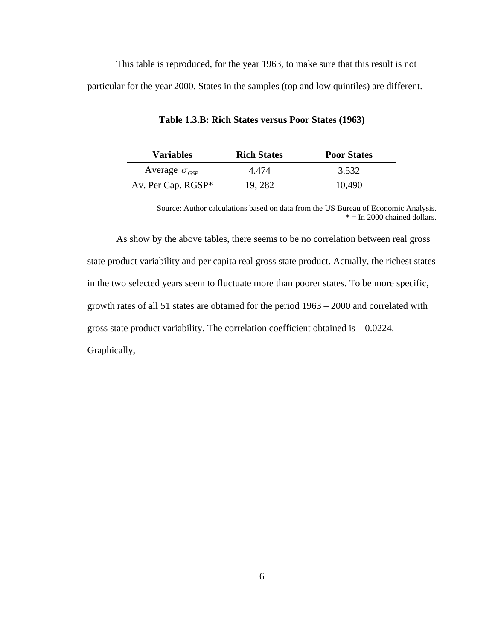This table is reproduced, for the year 1963, to make sure that this result is not particular for the year 2000. States in the samples (top and low quintiles) are different.

| <b>Variables</b>       | <b>Rich States</b> | <b>Poor States</b> |
|------------------------|--------------------|--------------------|
| Average $\sigma_{csp}$ | 4.474              | 3.532              |
| Av. Per Cap. RGSP*     | 19, 282            | 10,490             |

**Table 1.3.B: Rich States versus Poor States (1963)** 

Source: Author calculations based on data from the US Bureau of Economic Analysis.  $* = In 2000$  chained dollars.

 As show by the above tables, there seems to be no correlation between real gross state product variability and per capita real gross state product. Actually, the richest states in the two selected years seem to fluctuate more than poorer states. To be more specific, growth rates of all 51 states are obtained for the period 1963 – 2000 and correlated with gross state product variability. The correlation coefficient obtained is – 0.0224. Graphically,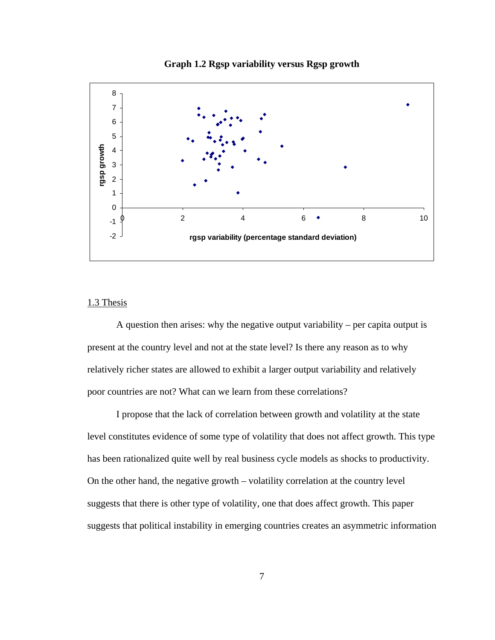

**Graph 1.2 Rgsp variability versus Rgsp growth** 

### 1.3 Thesis

 A question then arises: why the negative output variability – per capita output is present at the country level and not at the state level? Is there any reason as to why relatively richer states are allowed to exhibit a larger output variability and relatively poor countries are not? What can we learn from these correlations?

 I propose that the lack of correlation between growth and volatility at the state level constitutes evidence of some type of volatility that does not affect growth. This type has been rationalized quite well by real business cycle models as shocks to productivity. On the other hand, the negative growth – volatility correlation at the country level suggests that there is other type of volatility, one that does affect growth. This paper suggests that political instability in emerging countries creates an asymmetric information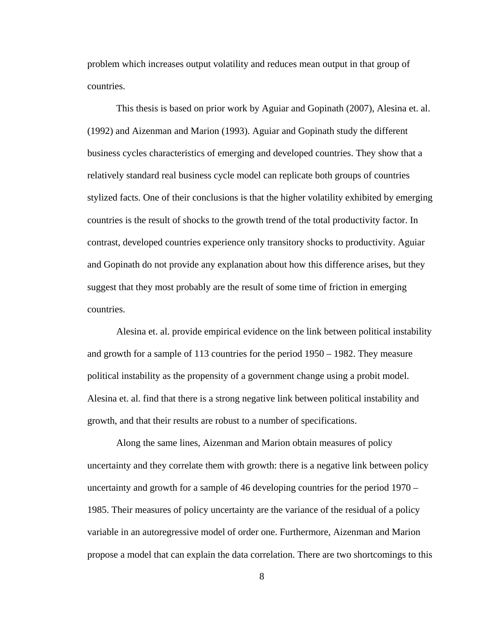problem which increases output volatility and reduces mean output in that group of countries.

 This thesis is based on prior work by Aguiar and Gopinath (2007), Alesina et. al. (1992) and Aizenman and Marion (1993). Aguiar and Gopinath study the different business cycles characteristics of emerging and developed countries. They show that a relatively standard real business cycle model can replicate both groups of countries stylized facts. One of their conclusions is that the higher volatility exhibited by emerging countries is the result of shocks to the growth trend of the total productivity factor. In contrast, developed countries experience only transitory shocks to productivity. Aguiar and Gopinath do not provide any explanation about how this difference arises, but they suggest that they most probably are the result of some time of friction in emerging countries.

 Alesina et. al. provide empirical evidence on the link between political instability and growth for a sample of 113 countries for the period 1950 – 1982. They measure political instability as the propensity of a government change using a probit model. Alesina et. al. find that there is a strong negative link between political instability and growth, and that their results are robust to a number of specifications.

 Along the same lines, Aizenman and Marion obtain measures of policy uncertainty and they correlate them with growth: there is a negative link between policy uncertainty and growth for a sample of 46 developing countries for the period 1970 – 1985. Their measures of policy uncertainty are the variance of the residual of a policy variable in an autoregressive model of order one. Furthermore, Aizenman and Marion propose a model that can explain the data correlation. There are two shortcomings to this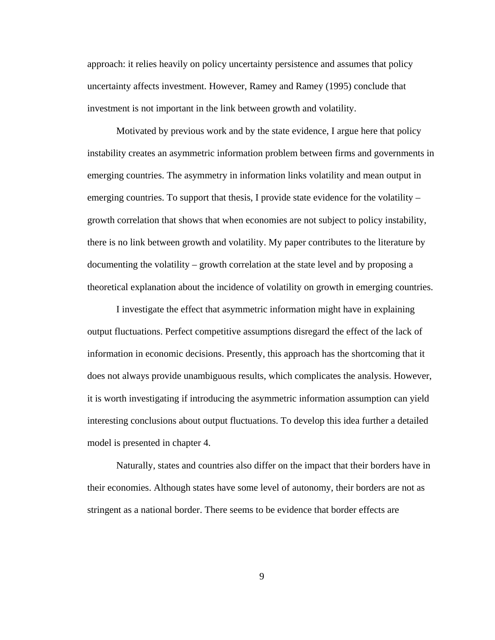approach: it relies heavily on policy uncertainty persistence and assumes that policy uncertainty affects investment. However, Ramey and Ramey (1995) conclude that investment is not important in the link between growth and volatility.

 Motivated by previous work and by the state evidence, I argue here that policy instability creates an asymmetric information problem between firms and governments in emerging countries. The asymmetry in information links volatility and mean output in emerging countries. To support that thesis, I provide state evidence for the volatility – growth correlation that shows that when economies are not subject to policy instability, there is no link between growth and volatility. My paper contributes to the literature by documenting the volatility – growth correlation at the state level and by proposing a theoretical explanation about the incidence of volatility on growth in emerging countries.

 I investigate the effect that asymmetric information might have in explaining output fluctuations. Perfect competitive assumptions disregard the effect of the lack of information in economic decisions. Presently, this approach has the shortcoming that it does not always provide unambiguous results, which complicates the analysis. However, it is worth investigating if introducing the asymmetric information assumption can yield interesting conclusions about output fluctuations. To develop this idea further a detailed model is presented in chapter 4.

 Naturally, states and countries also differ on the impact that their borders have in their economies. Although states have some level of autonomy, their borders are not as stringent as a national border. There seems to be evidence that border effects are

9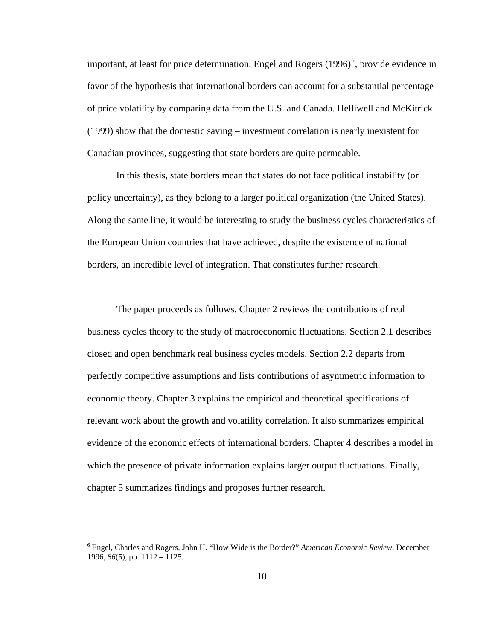important, at least for price determination. Engel and Rogers  $(1996)^6$  $(1996)^6$  $(1996)^6$ , provide evidence in favor of the hypothesis that international borders can account for a substantial percentage of price volatility by comparing data from the U.S. and Canada. Helliwell and McKitrick (1999) show that the domestic saving – investment correlation is nearly inexistent for Canadian provinces, suggesting that state borders are quite permeable.

 In this thesis, state borders mean that states do not face political instability (or policy uncertainty), as they belong to a larger political organization (the United States). Along the same line, it would be interesting to study the business cycles characteristics of the European Union countries that have achieved, despite the existence of national borders, an incredible level of integration. That constitutes further research.

 The paper proceeds as follows. Chapter 2 reviews the contributions of real business cycles theory to the study of macroeconomic fluctuations. Section 2.1 describes closed and open benchmark real business cycles models. Section 2.2 departs from perfectly competitive assumptions and lists contributions of asymmetric information to economic theory. Chapter 3 explains the empirical and theoretical specifications of relevant work about the growth and volatility correlation. It also summarizes empirical evidence of the economic effects of international borders. Chapter 4 describes a model in which the presence of private information explains larger output fluctuations. Finally, chapter 5 summarizes findings and proposes further research.

<span id="page-16-0"></span><sup>6</sup> Engel, Charles and Rogers, John H. "How Wide is the Border?" *American Economic Review*, December 1996, *86*(5), pp. 1112 – 1125.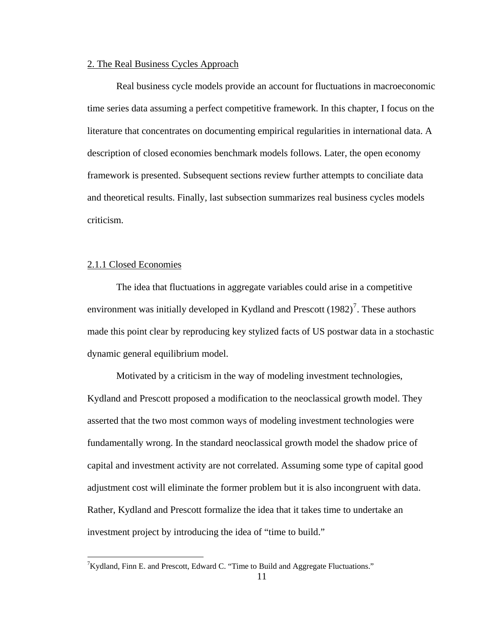### 2. The Real Business Cycles Approach

Real business cycle models provide an account for fluctuations in macroeconomic time series data assuming a perfect competitive framework. In this chapter, I focus on the literature that concentrates on documenting empirical regularities in international data. A description of closed economies benchmark models follows. Later, the open economy framework is presented. Subsequent sections review further attempts to conciliate data and theoretical results. Finally, last subsection summarizes real business cycles models criticism.

#### 2.1.1 Closed Economies

 $\overline{a}$ 

The idea that fluctuations in aggregate variables could arise in a competitive environment was initially developed in Kydland and Prescott  $(1982)^7$  $(1982)^7$ . These authors made this point clear by reproducing key stylized facts of US postwar data in a stochastic dynamic general equilibrium model.

Motivated by a criticism in the way of modeling investment technologies, Kydland and Prescott proposed a modification to the neoclassical growth model. They asserted that the two most common ways of modeling investment technologies were fundamentally wrong. In the standard neoclassical growth model the shadow price of capital and investment activity are not correlated. Assuming some type of capital good adjustment cost will eliminate the former problem but it is also incongruent with data. Rather, Kydland and Prescott formalize the idea that it takes time to undertake an investment project by introducing the idea of "time to build."

<span id="page-17-0"></span><sup>&</sup>lt;sup>7</sup>Kydland, Finn E. and Prescott, Edward C. "Time to Build and Aggregate Fluctuations."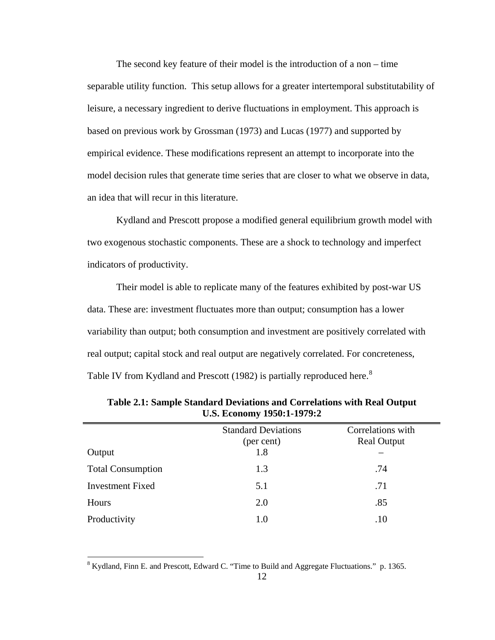The second key feature of their model is the introduction of a non – time separable utility function. This setup allows for a greater intertemporal substitutability of leisure, a necessary ingredient to derive fluctuations in employment. This approach is based on previous work by Grossman (1973) and Lucas (1977) and supported by empirical evidence. These modifications represent an attempt to incorporate into the model decision rules that generate time series that are closer to what we observe in data, an idea that will recur in this literature.

Kydland and Prescott propose a modified general equilibrium growth model with two exogenous stochastic components. These are a shock to technology and imperfect indicators of productivity.

Their model is able to replicate many of the features exhibited by post-war US data. These are: investment fluctuates more than output; consumption has a lower variability than output; both consumption and investment are positively correlated with real output; capital stock and real output are negatively correlated. For concreteness, Table IV from Kydland and Prescott (19[8](#page-18-0)2) is partially reproduced here.<sup>8</sup>

| Output                   | <b>Standard Deviations</b><br>(per cent)<br>1.8 | Correlations with<br><b>Real Output</b> |
|--------------------------|-------------------------------------------------|-----------------------------------------|
| <b>Total Consumption</b> | 1.3                                             | .74                                     |
| <b>Investment Fixed</b>  | 5.1                                             | .71                                     |
| Hours                    | 2.0                                             | .85                                     |
| Productivity             | 1.0                                             | .10                                     |
|                          |                                                 |                                         |

**Table 2.1: Sample Standard Deviations and Correlations with Real Output U.S. Economy 1950:1-1979:2** 

<span id="page-18-0"></span><sup>&</sup>lt;sup>8</sup> Kydland, Finn E. and Prescott, Edward C. "Time to Build and Aggregate Fluctuations." p. 1365.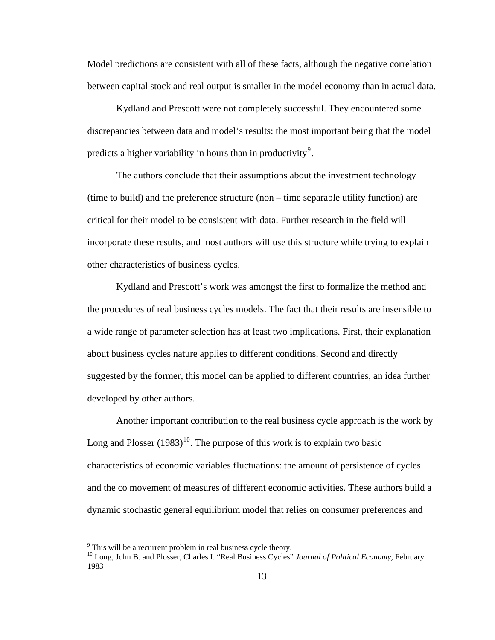Model predictions are consistent with all of these facts, although the negative correlation between capital stock and real output is smaller in the model economy than in actual data.

Kydland and Prescott were not completely successful. They encountered some discrepancies between data and model's results: the most important being that the model predicts a higher variability in hours than in productivity<sup>[9](#page-19-0)</sup>.

The authors conclude that their assumptions about the investment technology (time to build) and the preference structure (non – time separable utility function) are critical for their model to be consistent with data. Further research in the field will incorporate these results, and most authors will use this structure while trying to explain other characteristics of business cycles.

Kydland and Prescott's work was amongst the first to formalize the method and the procedures of real business cycles models. The fact that their results are insensible to a wide range of parameter selection has at least two implications. First, their explanation about business cycles nature applies to different conditions. Second and directly suggested by the former, this model can be applied to different countries, an idea further developed by other authors.

 Another important contribution to the real business cycle approach is the work by Long and Plosser  $(1983)^{10}$  $(1983)^{10}$  $(1983)^{10}$ . The purpose of this work is to explain two basic characteristics of economic variables fluctuations: the amount of persistence of cycles and the co movement of measures of different economic activities. These authors build a dynamic stochastic general equilibrium model that relies on consumer preferences and

<span id="page-19-0"></span> $9^9$  This will be a recurrent problem in real business cycle theory.

<span id="page-19-1"></span><sup>10</sup> Long, John B. and Plosser, Charles I. "Real Business Cycles" *Journal of Political Economy*, February 1983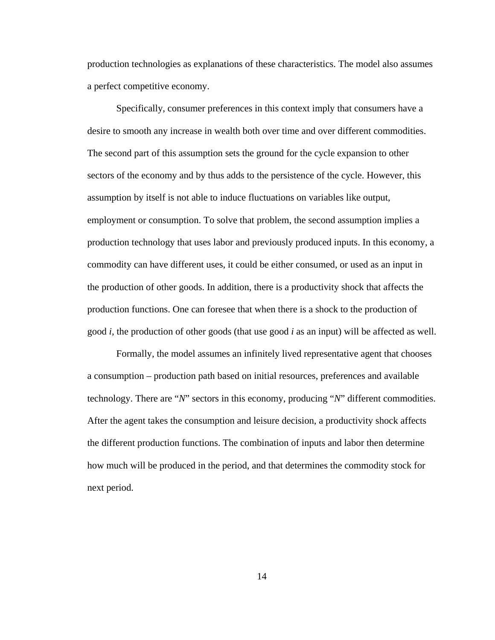production technologies as explanations of these characteristics. The model also assumes a perfect competitive economy.

 Specifically, consumer preferences in this context imply that consumers have a desire to smooth any increase in wealth both over time and over different commodities. The second part of this assumption sets the ground for the cycle expansion to other sectors of the economy and by thus adds to the persistence of the cycle. However, this assumption by itself is not able to induce fluctuations on variables like output, employment or consumption. To solve that problem, the second assumption implies a production technology that uses labor and previously produced inputs. In this economy, a commodity can have different uses, it could be either consumed, or used as an input in the production of other goods. In addition, there is a productivity shock that affects the production functions. One can foresee that when there is a shock to the production of good *i*, the production of other goods (that use good *i* as an input) will be affected as well.

 Formally, the model assumes an infinitely lived representative agent that chooses a consumption – production path based on initial resources, preferences and available technology. There are "*N*" sectors in this economy, producing "*N*" different commodities. After the agent takes the consumption and leisure decision, a productivity shock affects the different production functions. The combination of inputs and labor then determine how much will be produced in the period, and that determines the commodity stock for next period.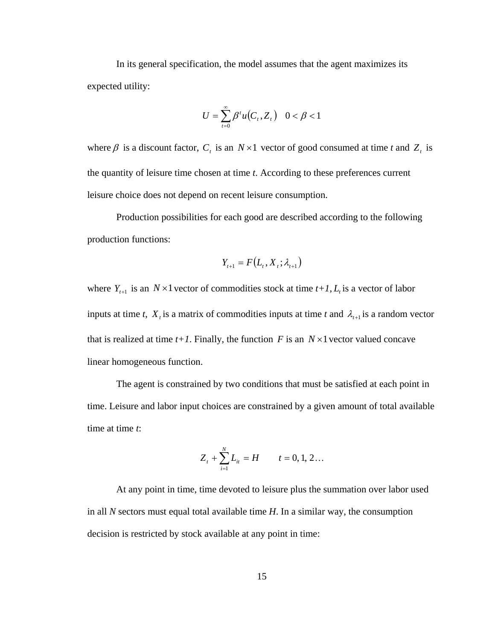In its general specification, the model assumes that the agent maximizes its expected utility:

$$
U = \sum_{t=0}^{\infty} \beta^t u(C_t, Z_t) \quad 0 < \beta < 1
$$

where  $\beta$  is a discount factor,  $C_t$  is an  $N \times 1$  vector of good consumed at time t and  $Z_t$  is the quantity of leisure time chosen at time *t*. According to these preferences current leisure choice does not depend on recent leisure consumption.

 Production possibilities for each good are described according to the following production functions:

$$
Y_{t+1} = F(L_t, X_t; \lambda_{t+1})
$$

where  $Y_{t+1}$  is an  $N \times 1$  vector of commodities stock at time  $t+1$ ,  $L_t$  is a vector of labor inputs at time *t*,  $X_t$  is a matrix of commodities inputs at time *t* and  $\lambda_{t+1}$  is a random vector that is realized at time  $t+1$ . Finally, the function F is an  $N \times 1$  vector valued concave linear homogeneous function.

 The agent is constrained by two conditions that must be satisfied at each point in time. Leisure and labor input choices are constrained by a given amount of total available time at time *t*:

$$
Z_t + \sum_{i=1}^N L_{it} = H \qquad t = 0, 1, 2...
$$

 At any point in time, time devoted to leisure plus the summation over labor used in all *N* sectors must equal total available time *H*. In a similar way, the consumption decision is restricted by stock available at any point in time: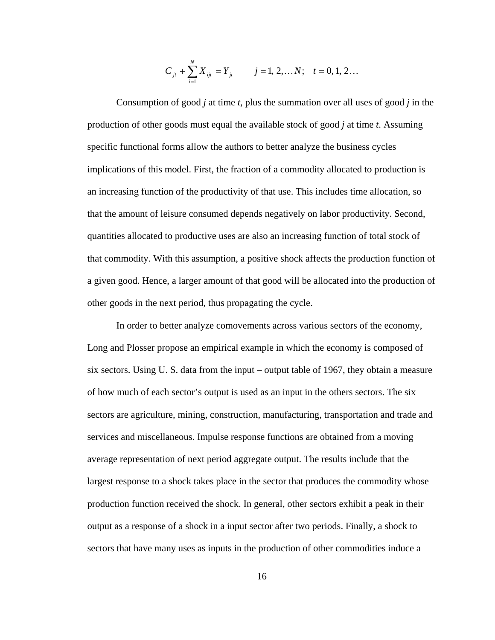$$
C_{jt} + \sum_{i=1}^{N} X_{ijt} = Y_{jt} \qquad j = 1, 2, \dots N; \quad t = 0, 1, 2 \dots
$$

 Consumption of good *j* at time *t*, plus the summation over all uses of good *j* in the production of other goods must equal the available stock of good *j* at time *t*. Assuming specific functional forms allow the authors to better analyze the business cycles implications of this model. First, the fraction of a commodity allocated to production is an increasing function of the productivity of that use. This includes time allocation, so that the amount of leisure consumed depends negatively on labor productivity. Second, quantities allocated to productive uses are also an increasing function of total stock of that commodity. With this assumption, a positive shock affects the production function of a given good. Hence, a larger amount of that good will be allocated into the production of other goods in the next period, thus propagating the cycle.

 In order to better analyze comovements across various sectors of the economy, Long and Plosser propose an empirical example in which the economy is composed of six sectors. Using U. S. data from the input – output table of 1967, they obtain a measure of how much of each sector's output is used as an input in the others sectors. The six sectors are agriculture, mining, construction, manufacturing, transportation and trade and services and miscellaneous. Impulse response functions are obtained from a moving average representation of next period aggregate output. The results include that the largest response to a shock takes place in the sector that produces the commodity whose production function received the shock. In general, other sectors exhibit a peak in their output as a response of a shock in a input sector after two periods. Finally, a shock to sectors that have many uses as inputs in the production of other commodities induce a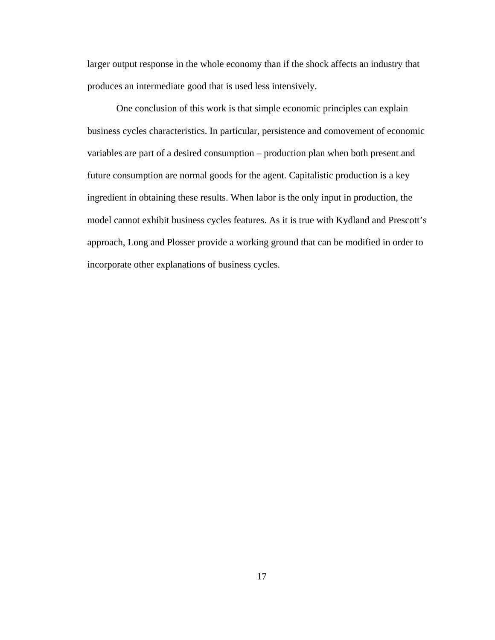larger output response in the whole economy than if the shock affects an industry that produces an intermediate good that is used less intensively.

 One conclusion of this work is that simple economic principles can explain business cycles characteristics. In particular, persistence and comovement of economic variables are part of a desired consumption – production plan when both present and future consumption are normal goods for the agent. Capitalistic production is a key ingredient in obtaining these results. When labor is the only input in production, the model cannot exhibit business cycles features. As it is true with Kydland and Prescott's approach, Long and Plosser provide a working ground that can be modified in order to incorporate other explanations of business cycles.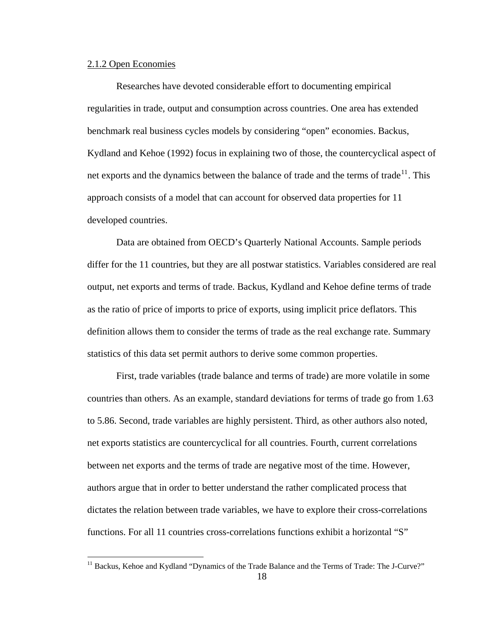#### 2.1.2 Open Economies

 $\overline{a}$ 

Researches have devoted considerable effort to documenting empirical regularities in trade, output and consumption across countries. One area has extended benchmark real business cycles models by considering "open" economies. Backus, Kydland and Kehoe (1992) focus in explaining two of those, the countercyclical aspect of net exports and the dynamics between the balance of trade and the terms of trade<sup>[11](#page-24-0)</sup>. This approach consists of a model that can account for observed data properties for 11 developed countries.

Data are obtained from OECD's Quarterly National Accounts. Sample periods differ for the 11 countries, but they are all postwar statistics. Variables considered are real output, net exports and terms of trade. Backus, Kydland and Kehoe define terms of trade as the ratio of price of imports to price of exports, using implicit price deflators. This definition allows them to consider the terms of trade as the real exchange rate. Summary statistics of this data set permit authors to derive some common properties.

First, trade variables (trade balance and terms of trade) are more volatile in some countries than others. As an example, standard deviations for terms of trade go from 1.63 to 5.86. Second, trade variables are highly persistent. Third, as other authors also noted, net exports statistics are countercyclical for all countries. Fourth, current correlations between net exports and the terms of trade are negative most of the time. However, authors argue that in order to better understand the rather complicated process that dictates the relation between trade variables, we have to explore their cross-correlations functions. For all 11 countries cross-correlations functions exhibit a horizontal "S"

<span id="page-24-0"></span><sup>&</sup>lt;sup>11</sup> Backus, Kehoe and Kydland "Dynamics of the Trade Balance and the Terms of Trade: The J-Curve?"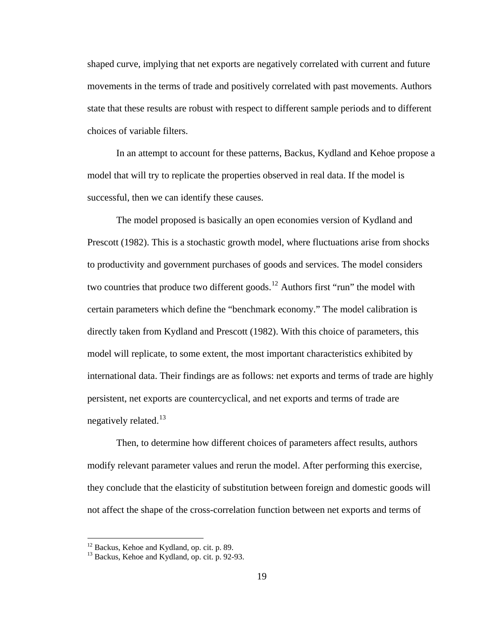shaped curve, implying that net exports are negatively correlated with current and future movements in the terms of trade and positively correlated with past movements. Authors state that these results are robust with respect to different sample periods and to different choices of variable filters.

In an attempt to account for these patterns, Backus, Kydland and Kehoe propose a model that will try to replicate the properties observed in real data. If the model is successful, then we can identify these causes.

The model proposed is basically an open economies version of Kydland and Prescott (1982). This is a stochastic growth model, where fluctuations arise from shocks to productivity and government purchases of goods and services. The model considers two countries that produce two different goods.<sup>[12](#page-25-0)</sup> Authors first "run" the model with certain parameters which define the "benchmark economy." The model calibration is directly taken from Kydland and Prescott (1982). With this choice of parameters, this model will replicate, to some extent, the most important characteristics exhibited by international data. Their findings are as follows: net exports and terms of trade are highly persistent, net exports are countercyclical, and net exports and terms of trade are negatively related. $^{13}$  $^{13}$  $^{13}$ 

 Then, to determine how different choices of parameters affect results, authors modify relevant parameter values and rerun the model. After performing this exercise, they conclude that the elasticity of substitution between foreign and domestic goods will not affect the shape of the cross-correlation function between net exports and terms of

<span id="page-25-0"></span><sup>&</sup>lt;sup>12</sup> Backus, Kehoe and Kydland, op. cit. p. 89.

<span id="page-25-1"></span> $13$  Backus, Kehoe and Kydland, op. cit. p. 92-93.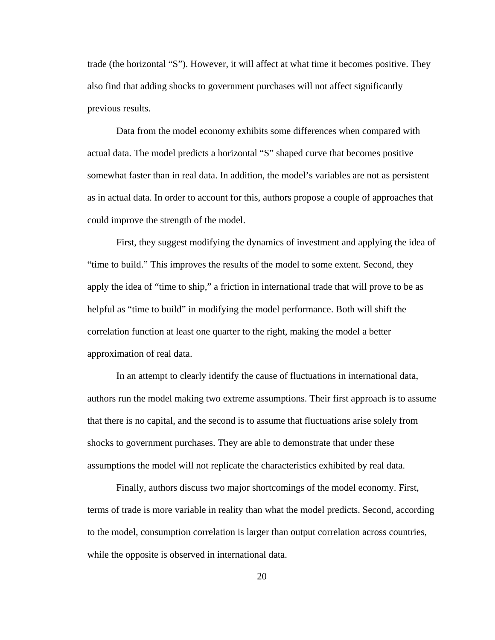trade (the horizontal "S"). However, it will affect at what time it becomes positive. They also find that adding shocks to government purchases will not affect significantly previous results.

 Data from the model economy exhibits some differences when compared with actual data. The model predicts a horizontal "S" shaped curve that becomes positive somewhat faster than in real data. In addition, the model's variables are not as persistent as in actual data. In order to account for this, authors propose a couple of approaches that could improve the strength of the model.

First, they suggest modifying the dynamics of investment and applying the idea of "time to build." This improves the results of the model to some extent. Second, they apply the idea of "time to ship," a friction in international trade that will prove to be as helpful as "time to build" in modifying the model performance. Both will shift the correlation function at least one quarter to the right, making the model a better approximation of real data.

 In an attempt to clearly identify the cause of fluctuations in international data, authors run the model making two extreme assumptions. Their first approach is to assume that there is no capital, and the second is to assume that fluctuations arise solely from shocks to government purchases. They are able to demonstrate that under these assumptions the model will not replicate the characteristics exhibited by real data.

 Finally, authors discuss two major shortcomings of the model economy. First, terms of trade is more variable in reality than what the model predicts. Second, according to the model, consumption correlation is larger than output correlation across countries, while the opposite is observed in international data.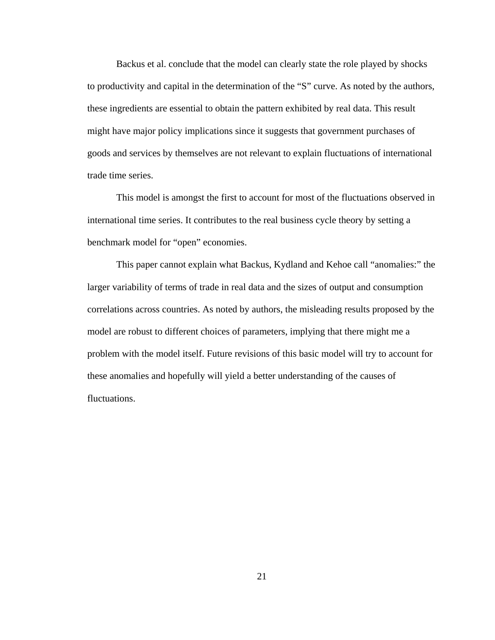Backus et al. conclude that the model can clearly state the role played by shocks to productivity and capital in the determination of the "S" curve. As noted by the authors, these ingredients are essential to obtain the pattern exhibited by real data. This result might have major policy implications since it suggests that government purchases of goods and services by themselves are not relevant to explain fluctuations of international trade time series.

This model is amongst the first to account for most of the fluctuations observed in international time series. It contributes to the real business cycle theory by setting a benchmark model for "open" economies.

This paper cannot explain what Backus, Kydland and Kehoe call "anomalies:" the larger variability of terms of trade in real data and the sizes of output and consumption correlations across countries. As noted by authors, the misleading results proposed by the model are robust to different choices of parameters, implying that there might me a problem with the model itself. Future revisions of this basic model will try to account for these anomalies and hopefully will yield a better understanding of the causes of fluctuations.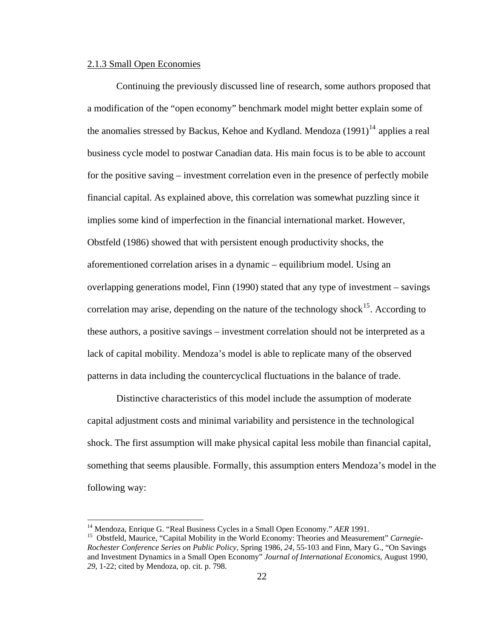### 2.1.3 Small Open Economies

Continuing the previously discussed line of research, some authors proposed that a modification of the "open economy" benchmark model might better explain some of the anomalies stressed by Backus, Kehoe and Kydland. Mendoza  $(1991)^{14}$  $(1991)^{14}$  $(1991)^{14}$  applies a real business cycle model to postwar Canadian data. His main focus is to be able to account for the positive saving – investment correlation even in the presence of perfectly mobile financial capital. As explained above, this correlation was somewhat puzzling since it implies some kind of imperfection in the financial international market. However, Obstfeld (1986) showed that with persistent enough productivity shocks, the aforementioned correlation arises in a dynamic – equilibrium model. Using an overlapping generations model, Finn (1990) stated that any type of investment – savings correlation may arise, depending on the nature of the technology shock<sup>[15](#page-28-1)</sup>. According to these authors, a positive savings – investment correlation should not be interpreted as a lack of capital mobility. Mendoza's model is able to replicate many of the observed patterns in data including the countercyclical fluctuations in the balance of trade.

Distinctive characteristics of this model include the assumption of moderate capital adjustment costs and minimal variability and persistence in the technological shock. The first assumption will make physical capital less mobile than financial capital, something that seems plausible. Formally, this assumption enters Mendoza's model in the following way:

<span id="page-28-1"></span><span id="page-28-0"></span><sup>&</sup>lt;sup>14</sup> Mendoza, Enrique G. "Real Business Cycles in a Small Open Economy." *AER* 1991.<br><sup>15</sup> Obstfeld, Maurice, "Capital Mobility in the World Economy: Theories and Measurement" *Carnegie*-*Rochester Conference Series on Public Policy*, Spring 1986, *24*, 55-103 and Finn, Mary G., "On Savings and Investment Dynamics in a Small Open Economy" *Journal of International Economics*, August 1990, *29*, 1-22; cited by Mendoza, op. cit. p. 798.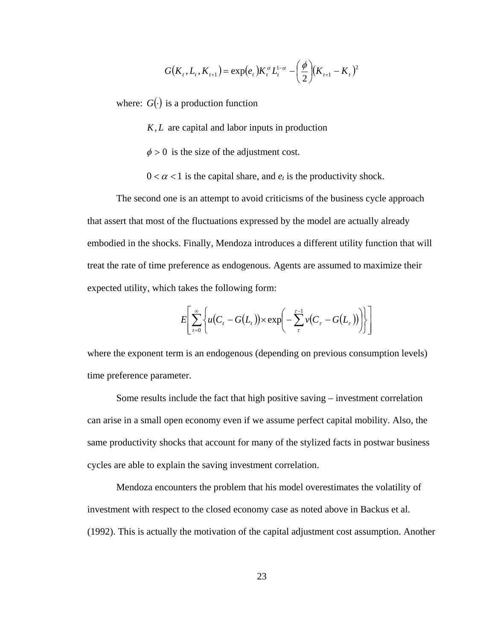$$
G(K_{t}, L_{t}, K_{t+1}) = \exp(e_{t})K_{t}^{\alpha}L_{t}^{1-\alpha} - \left(\frac{\phi}{2}\right)(K_{t+1} - K_{t})^{2}
$$

where:  $G(\cdot)$  is a production function

 $K, L$  are capital and labor inputs in production

 $\phi > 0$  is the size of the adjustment cost.

 $0 < \alpha < 1$  is the capital share, and  $e_t$  is the productivity shock.

The second one is an attempt to avoid criticisms of the business cycle approach that assert that most of the fluctuations expressed by the model are actually already embodied in the shocks. Finally, Mendoza introduces a different utility function that will treat the rate of time preference as endogenous. Agents are assumed to maximize their expected utility, which takes the following form:

$$
E\left[\sum_{t=0}^{\infty}\left\{u(C_t-G(L_t))\times\exp\left(-\sum_{\tau}^{\tau-1}v(C_{\tau}-G(L_{\tau}))\right)\right\}\right]
$$

where the exponent term is an endogenous (depending on previous consumption levels) time preference parameter.

Some results include the fact that high positive saving – investment correlation can arise in a small open economy even if we assume perfect capital mobility. Also, the same productivity shocks that account for many of the stylized facts in postwar business cycles are able to explain the saving investment correlation.

Mendoza encounters the problem that his model overestimates the volatility of investment with respect to the closed economy case as noted above in Backus et al. (1992). This is actually the motivation of the capital adjustment cost assumption. Another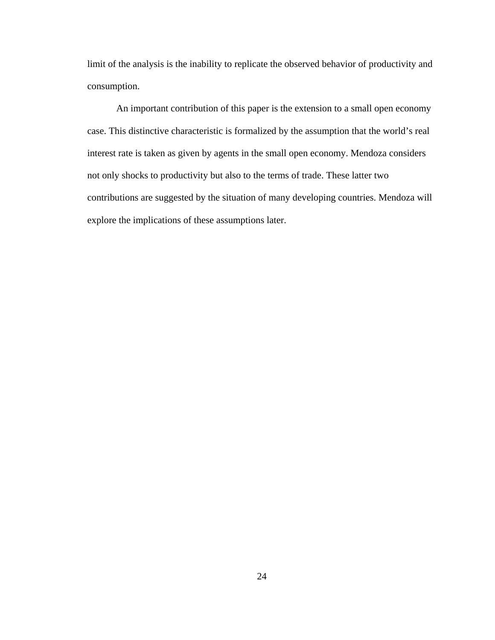limit of the analysis is the inability to replicate the observed behavior of productivity and consumption.

An important contribution of this paper is the extension to a small open economy case. This distinctive characteristic is formalized by the assumption that the world's real interest rate is taken as given by agents in the small open economy. Mendoza considers not only shocks to productivity but also to the terms of trade. These latter two contributions are suggested by the situation of many developing countries. Mendoza will explore the implications of these assumptions later.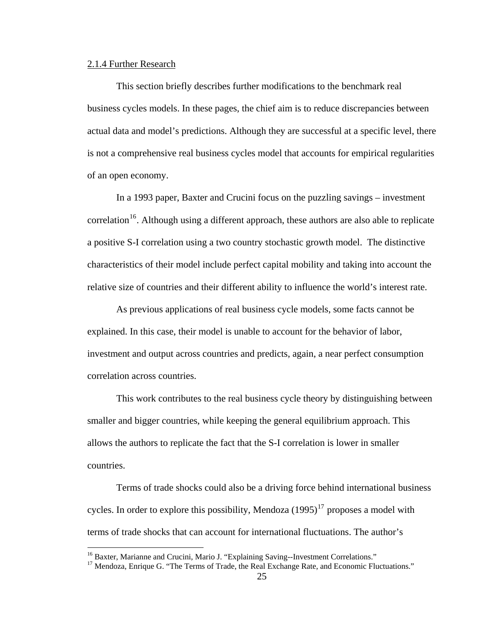#### 2.1.4 Further Research

 $\overline{a}$ 

This section briefly describes further modifications to the benchmark real business cycles models. In these pages, the chief aim is to reduce discrepancies between actual data and model's predictions. Although they are successful at a specific level, there is not a comprehensive real business cycles model that accounts for empirical regularities of an open economy.

 In a 1993 paper, Baxter and Crucini focus on the puzzling savings – investment correlation<sup>[16](#page-31-0)</sup>. Although using a different approach, these authors are also able to replicate a positive S-I correlation using a two country stochastic growth model. The distinctive characteristics of their model include perfect capital mobility and taking into account the relative size of countries and their different ability to influence the world's interest rate.

 As previous applications of real business cycle models, some facts cannot be explained. In this case, their model is unable to account for the behavior of labor, investment and output across countries and predicts, again, a near perfect consumption correlation across countries.

This work contributes to the real business cycle theory by distinguishing between smaller and bigger countries, while keeping the general equilibrium approach. This allows the authors to replicate the fact that the S-I correlation is lower in smaller countries.

 Terms of trade shocks could also be a driving force behind international business cycles. In order to explore this possibility, Mendoza  $(1995)^{17}$  $(1995)^{17}$  $(1995)^{17}$  proposes a model with terms of trade shocks that can account for international fluctuations. The author's

<sup>&</sup>lt;sup>16</sup> Baxter, Marianne and Crucini, Mario J. "Explaining Saving--Investment Correlations."

<span id="page-31-1"></span><span id="page-31-0"></span><sup>&</sup>lt;sup>17</sup> Mendoza, Enrique G. "The Terms of Trade, the Real Exchange Rate, and Economic Fluctuations."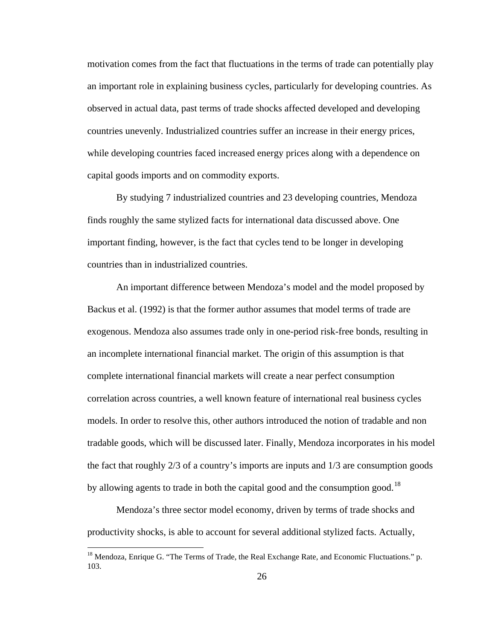motivation comes from the fact that fluctuations in the terms of trade can potentially play an important role in explaining business cycles, particularly for developing countries. As observed in actual data, past terms of trade shocks affected developed and developing countries unevenly. Industrialized countries suffer an increase in their energy prices, while developing countries faced increased energy prices along with a dependence on capital goods imports and on commodity exports.

By studying 7 industrialized countries and 23 developing countries, Mendoza finds roughly the same stylized facts for international data discussed above. One important finding, however, is the fact that cycles tend to be longer in developing countries than in industrialized countries.

An important difference between Mendoza's model and the model proposed by Backus et al. (1992) is that the former author assumes that model terms of trade are exogenous. Mendoza also assumes trade only in one-period risk-free bonds, resulting in an incomplete international financial market. The origin of this assumption is that complete international financial markets will create a near perfect consumption correlation across countries, a well known feature of international real business cycles models. In order to resolve this, other authors introduced the notion of tradable and non tradable goods, which will be discussed later. Finally, Mendoza incorporates in his model the fact that roughly 2/3 of a country's imports are inputs and 1/3 are consumption goods by allowing agents to trade in both the capital good and the consumption good.<sup>[18](#page-32-0)</sup>

Mendoza's three sector model economy, driven by terms of trade shocks and productivity shocks, is able to account for several additional stylized facts. Actually,

<span id="page-32-0"></span><sup>&</sup>lt;sup>18</sup> Mendoza, Enrique G. "The Terms of Trade, the Real Exchange Rate, and Economic Fluctuations." p. 103.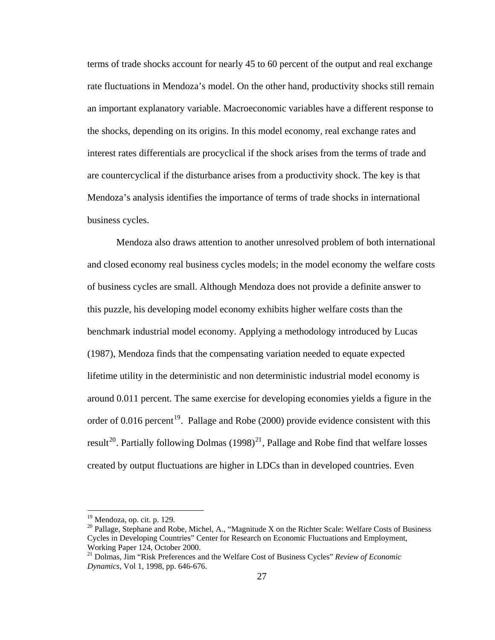terms of trade shocks account for nearly 45 to 60 percent of the output and real exchange rate fluctuations in Mendoza's model. On the other hand, productivity shocks still remain an important explanatory variable. Macroeconomic variables have a different response to the shocks, depending on its origins. In this model economy, real exchange rates and interest rates differentials are procyclical if the shock arises from the terms of trade and are countercyclical if the disturbance arises from a productivity shock. The key is that Mendoza's analysis identifies the importance of terms of trade shocks in international business cycles.

Mendoza also draws attention to another unresolved problem of both international and closed economy real business cycles models; in the model economy the welfare costs of business cycles are small. Although Mendoza does not provide a definite answer to this puzzle, his developing model economy exhibits higher welfare costs than the benchmark industrial model economy. Applying a methodology introduced by Lucas (1987), Mendoza finds that the compensating variation needed to equate expected lifetime utility in the deterministic and non deterministic industrial model economy is around 0.011 percent. The same exercise for developing economies yields a figure in the order of 0.016 percent<sup>[19](#page-33-0)</sup>. Pallage and Robe (2000) provide evidence consistent with this result<sup>[20](#page-33-1)</sup>. Partially following Dolmas  $(1998)^{21}$  $(1998)^{21}$  $(1998)^{21}$ , Pallage and Robe find that welfare losses created by output fluctuations are higher in LDCs than in developed countries. Even

<span id="page-33-0"></span><sup>&</sup>lt;sup>19</sup> Mendoza, op. cit. p. 129.

<span id="page-33-1"></span><sup>&</sup>lt;sup>20</sup> Pallage, Stephane and Robe, Michel, A., "Magnitude X on the Richter Scale: Welfare Costs of Business Cycles in Developing Countries" Center for Research on Economic Fluctuations and Employment, Working Paper 124, October 2000.

<span id="page-33-2"></span><sup>21</sup> Dolmas, Jim "Risk Preferences and the Welfare Cost of Business Cycles" *Review of Economic Dynamics*, Vol 1, 1998, pp. 646-676.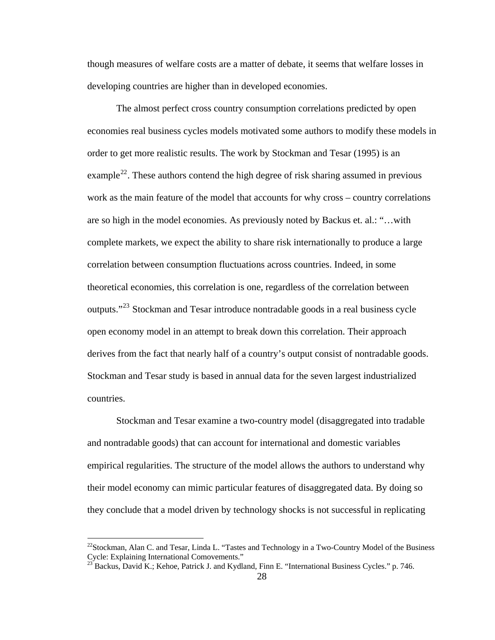though measures of welfare costs are a matter of debate, it seems that welfare losses in developing countries are higher than in developed economies.

The almost perfect cross country consumption correlations predicted by open economies real business cycles models motivated some authors to modify these models in order to get more realistic results. The work by Stockman and Tesar (1995) is an example<sup>[22](#page-34-0)</sup>. These authors contend the high degree of risk sharing assumed in previous work as the main feature of the model that accounts for why cross – country correlations are so high in the model economies. As previously noted by Backus et. al.: "…with complete markets, we expect the ability to share risk internationally to produce a large correlation between consumption fluctuations across countries. Indeed, in some theoretical economies, this correlation is one, regardless of the correlation between outputs."<sup>[23](#page-34-1)</sup> Stockman and Tesar introduce nontradable goods in a real business cycle open economy model in an attempt to break down this correlation. Their approach derives from the fact that nearly half of a country's output consist of nontradable goods. Stockman and Tesar study is based in annual data for the seven largest industrialized countries.

 Stockman and Tesar examine a two-country model (disaggregated into tradable and nontradable goods) that can account for international and domestic variables empirical regularities. The structure of the model allows the authors to understand why their model economy can mimic particular features of disaggregated data. By doing so they conclude that a model driven by technology shocks is not successful in replicating

<span id="page-34-0"></span> $^{22}$ Stockman, Alan C. and Tesar, Linda L. "Tastes and Technology in a Two-Country Model of the Business Cycle: Explaining International Comovements."

<span id="page-34-1"></span> $^{23}$  Backus, David K.; Kehoe, Patrick J. and Kydland, Finn E. "International Business Cycles." p. 746.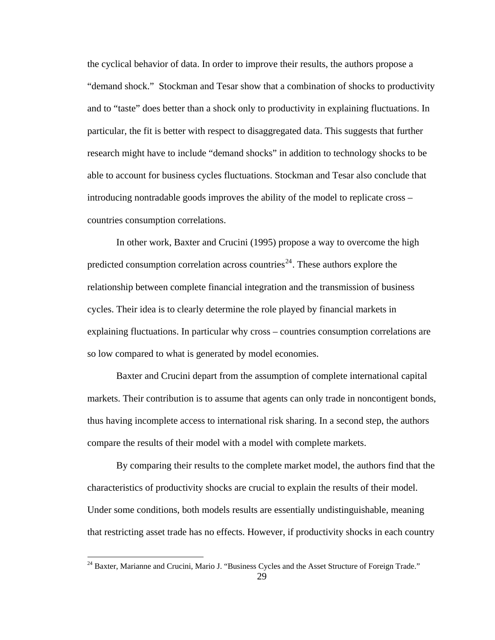the cyclical behavior of data. In order to improve their results, the authors propose a "demand shock." Stockman and Tesar show that a combination of shocks to productivity and to "taste" does better than a shock only to productivity in explaining fluctuations. In particular, the fit is better with respect to disaggregated data. This suggests that further research might have to include "demand shocks" in addition to technology shocks to be able to account for business cycles fluctuations. Stockman and Tesar also conclude that introducing nontradable goods improves the ability of the model to replicate cross – countries consumption correlations.

 In other work, Baxter and Crucini (1995) propose a way to overcome the high predicted consumption correlation across countries<sup>[24](#page-35-0)</sup>. These authors explore the relationship between complete financial integration and the transmission of business cycles. Their idea is to clearly determine the role played by financial markets in explaining fluctuations. In particular why cross – countries consumption correlations are so low compared to what is generated by model economies.

Baxter and Crucini depart from the assumption of complete international capital markets. Their contribution is to assume that agents can only trade in noncontigent bonds, thus having incomplete access to international risk sharing. In a second step, the authors compare the results of their model with a model with complete markets.

By comparing their results to the complete market model, the authors find that the characteristics of productivity shocks are crucial to explain the results of their model. Under some conditions, both models results are essentially undistinguishable, meaning that restricting asset trade has no effects. However, if productivity shocks in each country

<span id="page-35-0"></span><sup>&</sup>lt;sup>24</sup> Baxter, Marianne and Crucini, Mario J. "Business Cycles and the Asset Structure of Foreign Trade."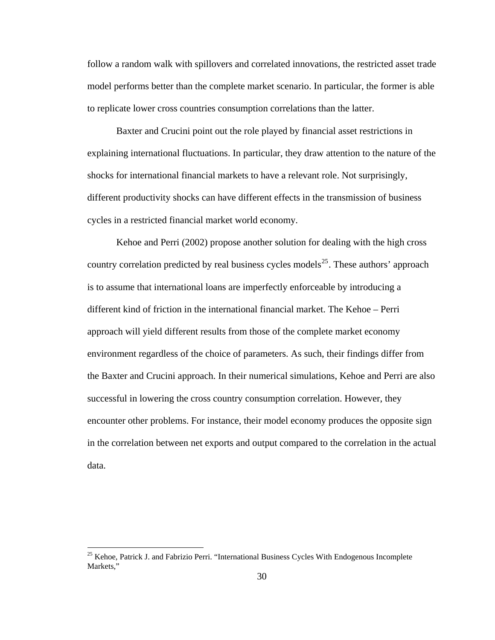follow a random walk with spillovers and correlated innovations, the restricted asset trade model performs better than the complete market scenario. In particular, the former is able to replicate lower cross countries consumption correlations than the latter.

Baxter and Crucini point out the role played by financial asset restrictions in explaining international fluctuations. In particular, they draw attention to the nature of the shocks for international financial markets to have a relevant role. Not surprisingly, different productivity shocks can have different effects in the transmission of business cycles in a restricted financial market world economy.

Kehoe and Perri (2002) propose another solution for dealing with the high cross country correlation predicted by real business cycles models<sup>[25](#page-36-0)</sup>. These authors' approach is to assume that international loans are imperfectly enforceable by introducing a different kind of friction in the international financial market. The Kehoe – Perri approach will yield different results from those of the complete market economy environment regardless of the choice of parameters. As such, their findings differ from the Baxter and Crucini approach. In their numerical simulations, Kehoe and Perri are also successful in lowering the cross country consumption correlation. However, they encounter other problems. For instance, their model economy produces the opposite sign in the correlation between net exports and output compared to the correlation in the actual data.

<span id="page-36-0"></span><sup>&</sup>lt;sup>25</sup> Kehoe, Patrick J. and Fabrizio Perri. "International Business Cycles With Endogenous Incomplete Markets,"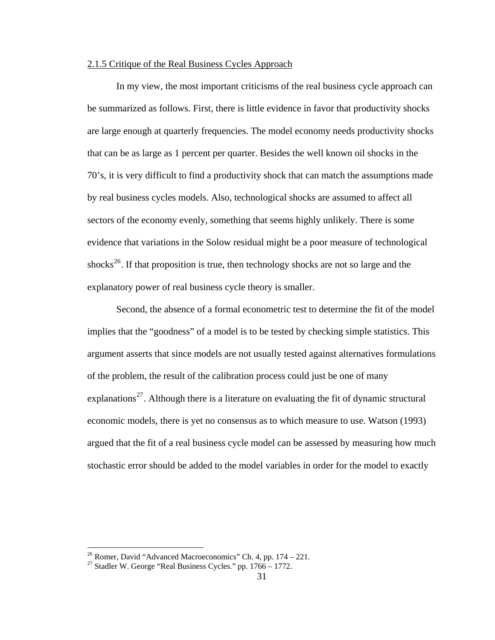## 2.1.5 Critique of the Real Business Cycles Approach

 In my view, the most important criticisms of the real business cycle approach can be summarized as follows. First, there is little evidence in favor that productivity shocks are large enough at quarterly frequencies. The model economy needs productivity shocks that can be as large as 1 percent per quarter. Besides the well known oil shocks in the 70's, it is very difficult to find a productivity shock that can match the assumptions made by real business cycles models. Also, technological shocks are assumed to affect all sectors of the economy evenly, something that seems highly unlikely. There is some evidence that variations in the Solow residual might be a poor measure of technological shocks<sup>[26](#page-37-0)</sup>. If that proposition is true, then technology shocks are not so large and the explanatory power of real business cycle theory is smaller.

 Second, the absence of a formal econometric test to determine the fit of the model implies that the "goodness" of a model is to be tested by checking simple statistics. This argument asserts that since models are not usually tested against alternatives formulations of the problem, the result of the calibration process could just be one of many explanations<sup>[27](#page-37-1)</sup>. Although there is a literature on evaluating the fit of dynamic structural economic models, there is yet no consensus as to which measure to use. Watson (1993) argued that the fit of a real business cycle model can be assessed by measuring how much stochastic error should be added to the model variables in order for the model to exactly

<span id="page-37-0"></span><sup>&</sup>lt;sup>26</sup> Romer, David "Advanced Macroeconomics" Ch. 4, pp.  $174 - 221$ .

<span id="page-37-1"></span><sup>&</sup>lt;sup>27</sup> Stadler W. George "Real Business Cycles." pp.  $1766 - 1772$ .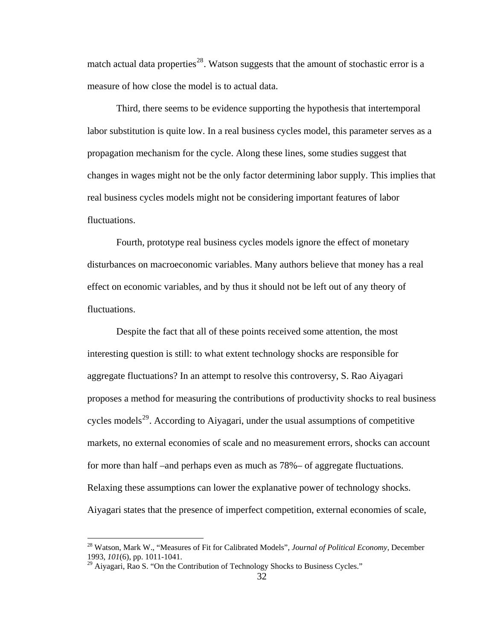match actual data properties<sup>[28](#page-38-0)</sup>. Watson suggests that the amount of stochastic error is a measure of how close the model is to actual data.

 Third, there seems to be evidence supporting the hypothesis that intertemporal labor substitution is quite low. In a real business cycles model, this parameter serves as a propagation mechanism for the cycle. Along these lines, some studies suggest that changes in wages might not be the only factor determining labor supply. This implies that real business cycles models might not be considering important features of labor fluctuations.

 Fourth, prototype real business cycles models ignore the effect of monetary disturbances on macroeconomic variables. Many authors believe that money has a real effect on economic variables, and by thus it should not be left out of any theory of fluctuations.

Despite the fact that all of these points received some attention, the most interesting question is still: to what extent technology shocks are responsible for aggregate fluctuations? In an attempt to resolve this controversy, S. Rao Aiyagari proposes a method for measuring the contributions of productivity shocks to real business cycles models<sup>[29](#page-38-1)</sup>. According to Aiyagari, under the usual assumptions of competitive markets, no external economies of scale and no measurement errors, shocks can account for more than half –and perhaps even as much as 78%– of aggregate fluctuations. Relaxing these assumptions can lower the explanative power of technology shocks. Aiyagari states that the presence of imperfect competition, external economies of scale,

<span id="page-38-0"></span><sup>28</sup> Watson, Mark W., "Measures of Fit for Calibrated Models", *Journal of Political Economy*, December 1993, *101*(6), pp. 1011-1041.

<span id="page-38-1"></span> $^{29}$  Aiyagari, Rao S. "On the Contribution of Technology Shocks to Business Cycles."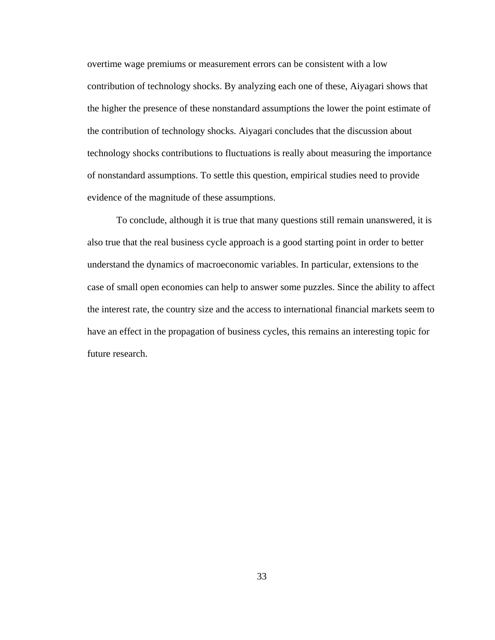overtime wage premiums or measurement errors can be consistent with a low contribution of technology shocks. By analyzing each one of these, Aiyagari shows that the higher the presence of these nonstandard assumptions the lower the point estimate of the contribution of technology shocks. Aiyagari concludes that the discussion about technology shocks contributions to fluctuations is really about measuring the importance of nonstandard assumptions. To settle this question, empirical studies need to provide evidence of the magnitude of these assumptions.

To conclude, although it is true that many questions still remain unanswered, it is also true that the real business cycle approach is a good starting point in order to better understand the dynamics of macroeconomic variables. In particular, extensions to the case of small open economies can help to answer some puzzles. Since the ability to affect the interest rate, the country size and the access to international financial markets seem to have an effect in the propagation of business cycles, this remains an interesting topic for future research.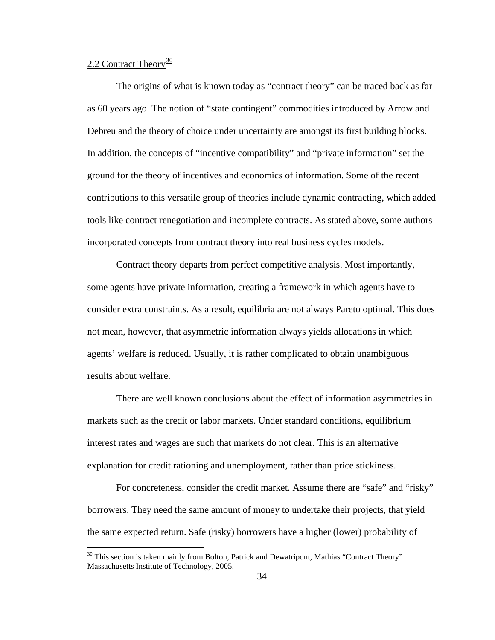# 2.2 Contract Theory $\frac{30}{2}$  $\frac{30}{2}$  $\frac{30}{2}$

 $\overline{a}$ 

 The origins of what is known today as "contract theory" can be traced back as far as 60 years ago. The notion of "state contingent" commodities introduced by Arrow and Debreu and the theory of choice under uncertainty are amongst its first building blocks. In addition, the concepts of "incentive compatibility" and "private information" set the ground for the theory of incentives and economics of information. Some of the recent contributions to this versatile group of theories include dynamic contracting, which added tools like contract renegotiation and incomplete contracts. As stated above, some authors incorporated concepts from contract theory into real business cycles models.

 Contract theory departs from perfect competitive analysis. Most importantly, some agents have private information, creating a framework in which agents have to consider extra constraints. As a result, equilibria are not always Pareto optimal. This does not mean, however, that asymmetric information always yields allocations in which agents' welfare is reduced. Usually, it is rather complicated to obtain unambiguous results about welfare.

 There are well known conclusions about the effect of information asymmetries in markets such as the credit or labor markets. Under standard conditions, equilibrium interest rates and wages are such that markets do not clear. This is an alternative explanation for credit rationing and unemployment, rather than price stickiness.

 For concreteness, consider the credit market. Assume there are "safe" and "risky" borrowers. They need the same amount of money to undertake their projects, that yield the same expected return. Safe (risky) borrowers have a higher (lower) probability of

<span id="page-40-0"></span> $30$  This section is taken mainly from Bolton, Patrick and Dewatripont, Mathias "Contract Theory" Massachusetts Institute of Technology, 2005.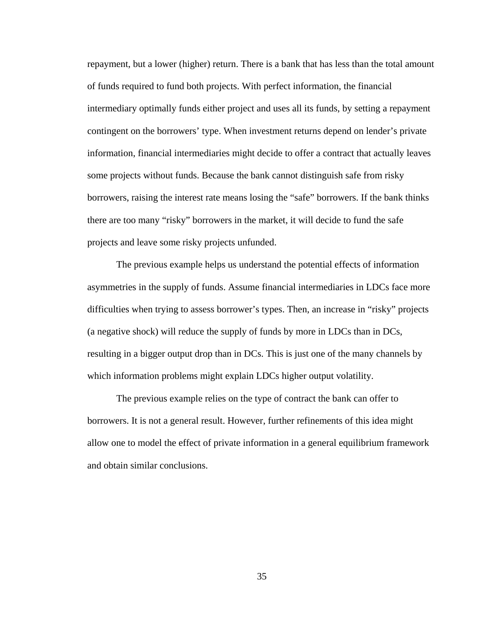repayment, but a lower (higher) return. There is a bank that has less than the total amount of funds required to fund both projects. With perfect information, the financial intermediary optimally funds either project and uses all its funds, by setting a repayment contingent on the borrowers' type. When investment returns depend on lender's private information, financial intermediaries might decide to offer a contract that actually leaves some projects without funds. Because the bank cannot distinguish safe from risky borrowers, raising the interest rate means losing the "safe" borrowers. If the bank thinks there are too many "risky" borrowers in the market, it will decide to fund the safe projects and leave some risky projects unfunded.

 The previous example helps us understand the potential effects of information asymmetries in the supply of funds. Assume financial intermediaries in LDCs face more difficulties when trying to assess borrower's types. Then, an increase in "risky" projects (a negative shock) will reduce the supply of funds by more in LDCs than in DCs, resulting in a bigger output drop than in DCs. This is just one of the many channels by which information problems might explain LDCs higher output volatility.

 The previous example relies on the type of contract the bank can offer to borrowers. It is not a general result. However, further refinements of this idea might allow one to model the effect of private information in a general equilibrium framework and obtain similar conclusions.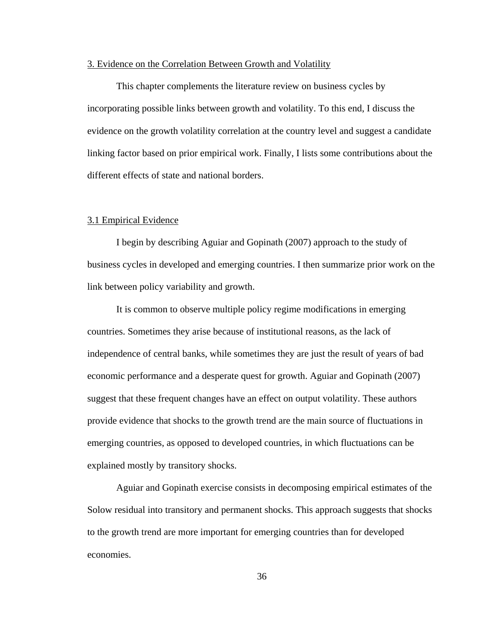## 3. Evidence on the Correlation Between Growth and Volatility

 This chapter complements the literature review on business cycles by incorporating possible links between growth and volatility. To this end, I discuss the evidence on the growth volatility correlation at the country level and suggest a candidate linking factor based on prior empirical work. Finally, I lists some contributions about the different effects of state and national borders.

#### 3.1 Empirical Evidence

 I begin by describing Aguiar and Gopinath (2007) approach to the study of business cycles in developed and emerging countries. I then summarize prior work on the link between policy variability and growth.

 It is common to observe multiple policy regime modifications in emerging countries. Sometimes they arise because of institutional reasons, as the lack of independence of central banks, while sometimes they are just the result of years of bad economic performance and a desperate quest for growth. Aguiar and Gopinath (2007) suggest that these frequent changes have an effect on output volatility. These authors provide evidence that shocks to the growth trend are the main source of fluctuations in emerging countries, as opposed to developed countries, in which fluctuations can be explained mostly by transitory shocks.

 Aguiar and Gopinath exercise consists in decomposing empirical estimates of the Solow residual into transitory and permanent shocks. This approach suggests that shocks to the growth trend are more important for emerging countries than for developed economies.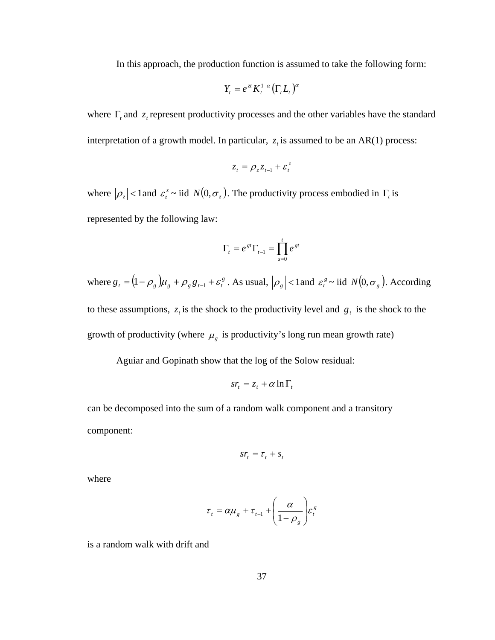In this approach, the production function is assumed to take the following form:

$$
Y_t = e^{zt} K_t^{1-\alpha} \big(\Gamma_t L_t\big)^{\alpha}
$$

where  $\Gamma$ <sub>*t*</sub> and  $z$ <sub>*t*</sub> represent productivity processes and the other variables have the standard interpretation of a growth model. In particular,  $z<sub>t</sub>$  is assumed to be an AR(1) process:

$$
z_t = \rho_z z_{t-1} + \varepsilon_t^z
$$

where  $|\rho_z|$  < 1 and  $\varepsilon_t^z$  ~ iid  $N(0, \sigma_z)$ . The productivity process embodied in  $\Gamma_t$  is represented by the following law:

$$
\Gamma_t = e^{gt} \Gamma_{t-1} = \prod_{s=0}^t e^{gt}
$$

where  $g_t = (1 - \rho_g) \mu_g + \rho_g g_{t-1} + \varepsilon_t^g$ . As usual,  $|\rho_g| < 1$  and  $\varepsilon_t^g \sim$  iid  $N(0, \sigma_g)$ . According to these assumptions,  $z_t$  is the shock to the productivity level and  $g_t$  is the shock to the growth of productivity (where  $\mu_{g}$  is productivity's long run mean growth rate)

Aguiar and Gopinath show that the log of the Solow residual:

$$
sr_t = z_t + \alpha \ln \Gamma_t
$$

can be decomposed into the sum of a random walk component and a transitory component:

$$
sr_t = \tau_t + s_t
$$

where

$$
\tau_{t} = \alpha \mu_{g} + \tau_{t-1} + \left(\frac{\alpha}{1 - \rho_{g}}\right) \varepsilon_{t}^{g}
$$

is a random walk with drift and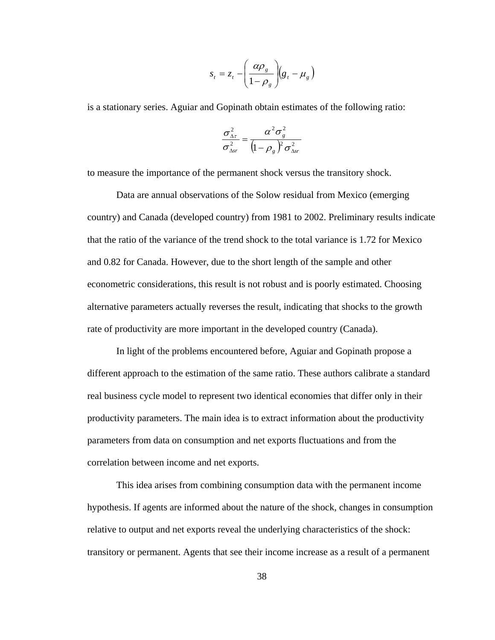$$
s_t = z_t - \left(\frac{\alpha \rho_s}{1 - \rho_s}\right) (g_t - \mu_s)
$$

is a stationary series. Aguiar and Gopinath obtain estimates of the following ratio:

$$
\frac{\sigma_{\Delta r}^2}{\sigma_{\Delta sr}^2} = \frac{\alpha^2 \sigma_g^2}{\left(1 - \rho_g\right)^2 \sigma_{\Delta sr}^2}
$$

to measure the importance of the permanent shock versus the transitory shock.

 Data are annual observations of the Solow residual from Mexico (emerging country) and Canada (developed country) from 1981 to 2002. Preliminary results indicate that the ratio of the variance of the trend shock to the total variance is 1.72 for Mexico and 0.82 for Canada. However, due to the short length of the sample and other econometric considerations, this result is not robust and is poorly estimated. Choosing alternative parameters actually reverses the result, indicating that shocks to the growth rate of productivity are more important in the developed country (Canada).

 In light of the problems encountered before, Aguiar and Gopinath propose a different approach to the estimation of the same ratio. These authors calibrate a standard real business cycle model to represent two identical economies that differ only in their productivity parameters. The main idea is to extract information about the productivity parameters from data on consumption and net exports fluctuations and from the correlation between income and net exports.

 This idea arises from combining consumption data with the permanent income hypothesis. If agents are informed about the nature of the shock, changes in consumption relative to output and net exports reveal the underlying characteristics of the shock: transitory or permanent. Agents that see their income increase as a result of a permanent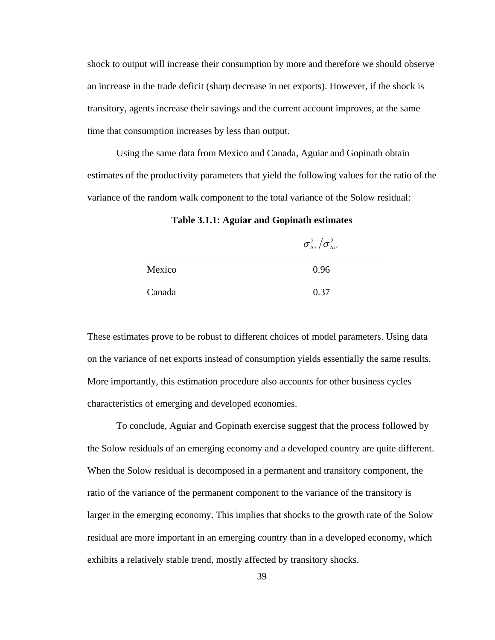shock to output will increase their consumption by more and therefore we should observe an increase in the trade deficit (sharp decrease in net exports). However, if the shock is transitory, agents increase their savings and the current account improves, at the same time that consumption increases by less than output.

 Using the same data from Mexico and Canada, Aguiar and Gopinath obtain estimates of the productivity parameters that yield the following values for the ratio of the variance of the random walk component to the total variance of the Solow residual:

**Table 3.1.1: Aguiar and Gopinath estimates** 

|        | $\sigma_{\Delta\tau}^2/\sigma_{\Delta\!sr}^2$ |
|--------|-----------------------------------------------|
| Mexico | 0.96                                          |
| Canada | 0.37                                          |

These estimates prove to be robust to different choices of model parameters. Using data on the variance of net exports instead of consumption yields essentially the same results. More importantly, this estimation procedure also accounts for other business cycles characteristics of emerging and developed economies.

 To conclude, Aguiar and Gopinath exercise suggest that the process followed by the Solow residuals of an emerging economy and a developed country are quite different. When the Solow residual is decomposed in a permanent and transitory component, the ratio of the variance of the permanent component to the variance of the transitory is larger in the emerging economy. This implies that shocks to the growth rate of the Solow residual are more important in an emerging country than in a developed economy, which exhibits a relatively stable trend, mostly affected by transitory shocks.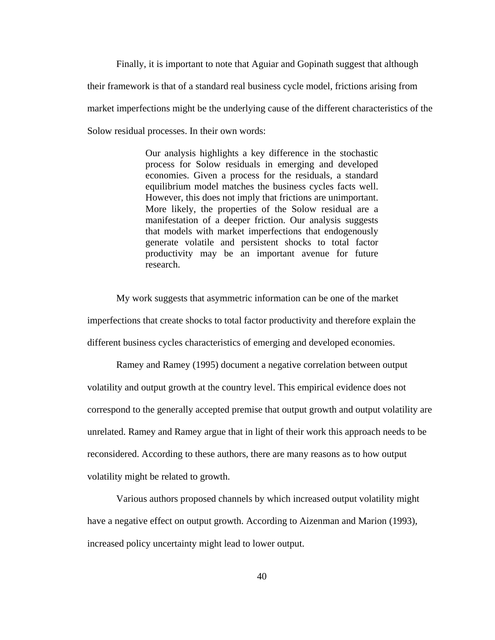Finally, it is important to note that Aguiar and Gopinath suggest that although their framework is that of a standard real business cycle model, frictions arising from market imperfections might be the underlying cause of the different characteristics of the Solow residual processes. In their own words:

> Our analysis highlights a key difference in the stochastic process for Solow residuals in emerging and developed economies. Given a process for the residuals, a standard equilibrium model matches the business cycles facts well. However, this does not imply that frictions are unimportant. More likely, the properties of the Solow residual are a manifestation of a deeper friction. Our analysis suggests that models with market imperfections that endogenously generate volatile and persistent shocks to total factor productivity may be an important avenue for future research.

 My work suggests that asymmetric information can be one of the market imperfections that create shocks to total factor productivity and therefore explain the different business cycles characteristics of emerging and developed economies.

 Ramey and Ramey (1995) document a negative correlation between output volatility and output growth at the country level. This empirical evidence does not correspond to the generally accepted premise that output growth and output volatility are unrelated. Ramey and Ramey argue that in light of their work this approach needs to be reconsidered. According to these authors, there are many reasons as to how output volatility might be related to growth.

 Various authors proposed channels by which increased output volatility might have a negative effect on output growth. According to Aizenman and Marion (1993), increased policy uncertainty might lead to lower output.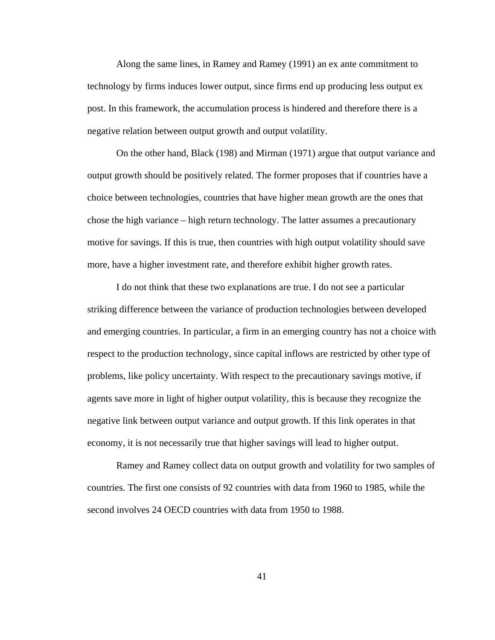Along the same lines, in Ramey and Ramey (1991) an ex ante commitment to technology by firms induces lower output, since firms end up producing less output ex post. In this framework, the accumulation process is hindered and therefore there is a negative relation between output growth and output volatility.

 On the other hand, Black (198) and Mirman (1971) argue that output variance and output growth should be positively related. The former proposes that if countries have a choice between technologies, countries that have higher mean growth are the ones that chose the high variance – high return technology. The latter assumes a precautionary motive for savings. If this is true, then countries with high output volatility should save more, have a higher investment rate, and therefore exhibit higher growth rates.

 I do not think that these two explanations are true. I do not see a particular striking difference between the variance of production technologies between developed and emerging countries. In particular, a firm in an emerging country has not a choice with respect to the production technology, since capital inflows are restricted by other type of problems, like policy uncertainty. With respect to the precautionary savings motive, if agents save more in light of higher output volatility, this is because they recognize the negative link between output variance and output growth. If this link operates in that economy, it is not necessarily true that higher savings will lead to higher output.

 Ramey and Ramey collect data on output growth and volatility for two samples of countries. The first one consists of 92 countries with data from 1960 to 1985, while the second involves 24 OECD countries with data from 1950 to 1988.

41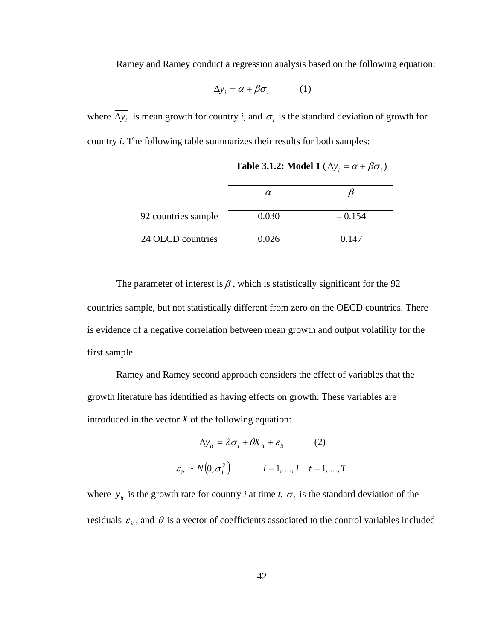Ramey and Ramey conduct a regression analysis based on the following equation:

$$
\Delta y_i = \alpha + \beta \sigma_i \tag{1}
$$

where  $\overline{\Delta y_i}$  is mean growth for country *i*, and  $\sigma_i$  is the standard deviation of growth for country *i*. The following table summarizes their results for both samples:

|                     | $\alpha$ |          |
|---------------------|----------|----------|
|                     |          |          |
| 92 countries sample | 0.030    | $-0.154$ |
|                     |          |          |
| 24 OECD countries   | 0.026    | 0.147    |

**Table 3.1.2:** Model 1 ( $\overline{\Delta y_i} = \alpha + \beta \sigma_i$ )

The parameter of interest is  $\beta$ , which is statistically significant for the 92 countries sample, but not statistically different from zero on the OECD countries. There is evidence of a negative correlation between mean growth and output volatility for the first sample.

 Ramey and Ramey second approach considers the effect of variables that the growth literature has identified as having effects on growth. These variables are introduced in the vector *X* of the following equation:

$$
\Delta y_{it} = \lambda \sigma_i + \theta X_{it} + \varepsilon_{it}
$$
 (2)  

$$
\varepsilon_{it} \sim N(0, \sigma_i^2) \qquad i = 1, ..., I \quad t = 1, ..., T
$$

where  $y_{it}$  is the growth rate for country *i* at time *t*,  $\sigma_i$  is the standard deviation of the residuals  $\varepsilon_{it}$ , and  $\theta$  is a vector of coefficients associated to the control variables included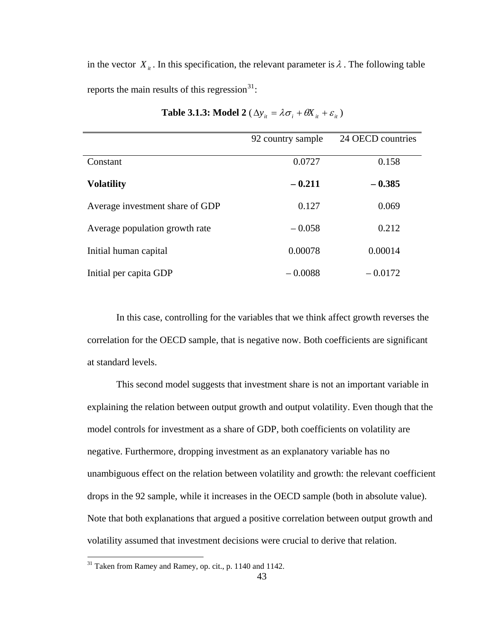in the vector  $X_{it}$ . In this specification, the relevant parameter is  $\lambda$ . The following table reports the main results of this regression $^{31}$  $^{31}$  $^{31}$ :

|                                 | 92 country sample | 24 OECD countries |
|---------------------------------|-------------------|-------------------|
| Constant                        | 0.0727            | 0.158             |
| <b>Volatility</b>               | $-0.211$          | $-0.385$          |
| Average investment share of GDP | 0.127             | 0.069             |
| Average population growth rate  | $-0.058$          | 0.212             |
| Initial human capital           | 0.00078           | 0.00014           |
| Initial per capita GDP          | $-0.0088$         | $-0.0172$         |

| <b>Table 3.1.3:</b> Model 2 ( $\Delta y_{it} = \lambda \sigma_i + \theta X_{it} + \varepsilon_{it}$ ) |  |  |  |  |
|-------------------------------------------------------------------------------------------------------|--|--|--|--|
|-------------------------------------------------------------------------------------------------------|--|--|--|--|

 In this case, controlling for the variables that we think affect growth reverses the correlation for the OECD sample, that is negative now. Both coefficients are significant at standard levels.

 This second model suggests that investment share is not an important variable in explaining the relation between output growth and output volatility. Even though that the model controls for investment as a share of GDP, both coefficients on volatility are negative. Furthermore, dropping investment as an explanatory variable has no unambiguous effect on the relation between volatility and growth: the relevant coefficient drops in the 92 sample, while it increases in the OECD sample (both in absolute value). Note that both explanations that argued a positive correlation between output growth and volatility assumed that investment decisions were crucial to derive that relation.

<span id="page-49-0"></span> $31$  Taken from Ramey and Ramey, op. cit., p. 1140 and 1142.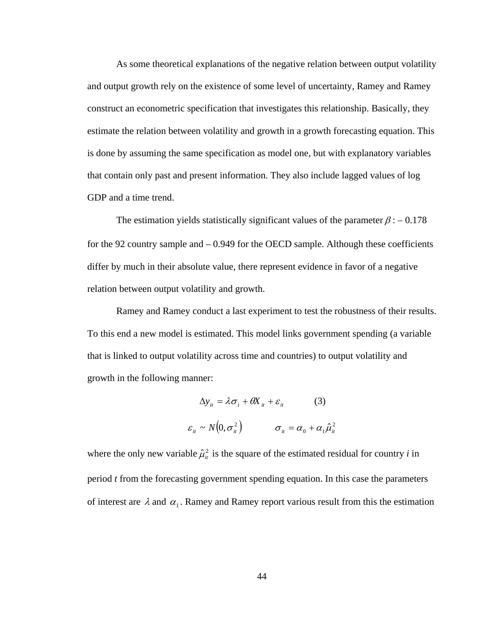As some theoretical explanations of the negative relation between output volatility and output growth rely on the existence of some level of uncertainty, Ramey and Ramey construct an econometric specification that investigates this relationship. Basically, they estimate the relation between volatility and growth in a growth forecasting equation. This is done by assuming the same specification as model one, but with explanatory variables that contain only past and present information. They also include lagged values of log GDP and a time trend.

The estimation yields statistically significant values of the parameter  $\beta$  :  $-0.178$ for the 92 country sample and – 0.949 for the OECD sample. Although these coefficients differ by much in their absolute value, there represent evidence in favor of a negative relation between output volatility and growth.

 Ramey and Ramey conduct a last experiment to test the robustness of their results. To this end a new model is estimated. This model links government spending (a variable that is linked to output volatility across time and countries) to output volatility and growth in the following manner:

$$
\Delta y_{it} = \lambda \sigma_i + \theta X_{it} + \varepsilon_{it}
$$
\n
$$
\varepsilon_{it} \sim N(0, \sigma_{it}^2) \qquad \sigma_{it} = \alpha_0 + \alpha_1 \hat{\mu}_{it}^2
$$

where the only new variable  $\hat{\mu}_i^2$  is the square of the estimated residual for country *i* in period *t* from the forecasting government spending equation. In this case the parameters of interest are  $\lambda$  and  $\alpha_1$ . Ramey and Ramey report various result from this the estimation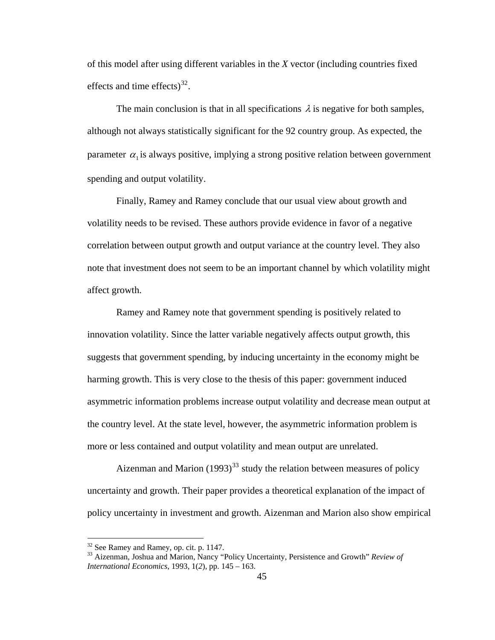of this model after using different variables in the *X* vector (including countries fixed effects and time effects) $^{32}$  $^{32}$  $^{32}$ .

The main conclusion is that in all specifications  $\lambda$  is negative for both samples, although not always statistically significant for the 92 country group. As expected, the parameter  $\alpha_1$  is always positive, implying a strong positive relation between government spending and output volatility.

 Finally, Ramey and Ramey conclude that our usual view about growth and volatility needs to be revised. These authors provide evidence in favor of a negative correlation between output growth and output variance at the country level. They also note that investment does not seem to be an important channel by which volatility might affect growth.

 Ramey and Ramey note that government spending is positively related to innovation volatility. Since the latter variable negatively affects output growth, this suggests that government spending, by inducing uncertainty in the economy might be harming growth. This is very close to the thesis of this paper: government induced asymmetric information problems increase output volatility and decrease mean output at the country level. At the state level, however, the asymmetric information problem is more or less contained and output volatility and mean output are unrelated.

Aizenman and Marion  $(1993)^{33}$  $(1993)^{33}$  $(1993)^{33}$  study the relation between measures of policy uncertainty and growth. Their paper provides a theoretical explanation of the impact of policy uncertainty in investment and growth. Aizenman and Marion also show empirical

 $32$  See Ramey and Ramey, op. cit. p. 1147.

<span id="page-51-1"></span><span id="page-51-0"></span><sup>33</sup> Aizenman, Joshua and Marion, Nancy "Policy Uncertainty, Persistence and Growth" *Review of International Economics*, 1993, 1(*2*), pp. 145 – 163.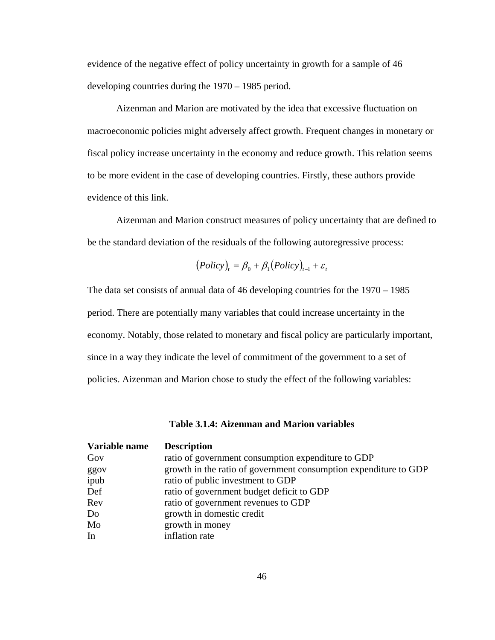evidence of the negative effect of policy uncertainty in growth for a sample of 46 developing countries during the 1970 – 1985 period.

 Aizenman and Marion are motivated by the idea that excessive fluctuation on macroeconomic policies might adversely affect growth. Frequent changes in monetary or fiscal policy increase uncertainty in the economy and reduce growth. This relation seems to be more evident in the case of developing countries. Firstly, these authors provide evidence of this link.

 Aizenman and Marion construct measures of policy uncertainty that are defined to be the standard deviation of the residuals of the following autoregressive process:

$$
(Policy)_t = \beta_0 + \beta_1 (Policy)_{t-1} + \varepsilon_t
$$

The data set consists of annual data of 46 developing countries for the 1970 – 1985 period. There are potentially many variables that could increase uncertainty in the economy. Notably, those related to monetary and fiscal policy are particularly important, since in a way they indicate the level of commitment of the government to a set of policies. Aizenman and Marion chose to study the effect of the following variables:

| Table 3.1.4: Aizenman and Marion variables |  |  |
|--------------------------------------------|--|--|
|--------------------------------------------|--|--|

| Variable name | <b>Description</b>                                               |
|---------------|------------------------------------------------------------------|
| Gov           | ratio of government consumption expenditure to GDP               |
| ggov          | growth in the ratio of government consumption expenditure to GDP |
| ipub          | ratio of public investment to GDP                                |
| Def           | ratio of government budget deficit to GDP                        |
| Rev           | ratio of government revenues to GDP                              |
| Do            | growth in domestic credit                                        |
| Mo            | growth in money                                                  |
| In            | inflation rate                                                   |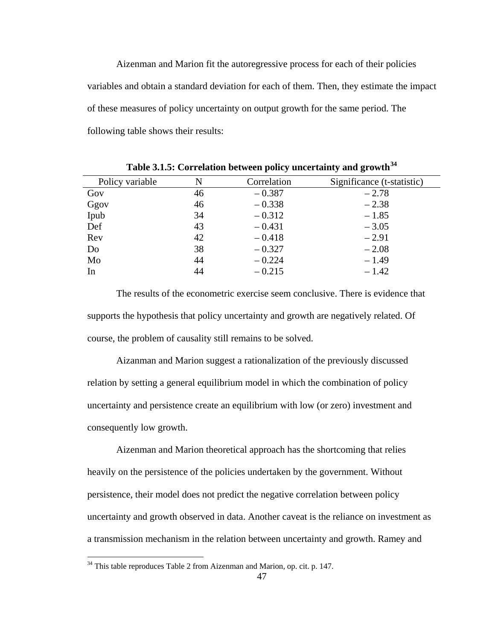Aizenman and Marion fit the autoregressive process for each of their policies variables and obtain a standard deviation for each of them. Then, they estimate the impact of these measures of policy uncertainty on output growth for the same period. The following table shows their results:

| Policy variable | N  | Correlation | Significance (t-statistic) |
|-----------------|----|-------------|----------------------------|
| Gov             | 46 | $-0.387$    | $-2.78$                    |
| Ggov            | 46 | $-0.338$    | $-2.38$                    |
| Ipub            | 34 | $-0.312$    | $-1.85$                    |
| Def             | 43 | $-0.431$    | $-3.05$                    |
| Rev             | 42 | $-0.418$    | $-2.91$                    |
| Do              | 38 | $-0.327$    | $-2.08$                    |
| Mo              | 44 | $-0.224$    | $-1.49$                    |
| In              | 44 | $-0.215$    | $-1.42$                    |

**Table 3.1.5: Correlation between policy uncertainty and growth[34](#page-53-0)**

 The results of the econometric exercise seem conclusive. There is evidence that supports the hypothesis that policy uncertainty and growth are negatively related. Of course, the problem of causality still remains to be solved.

 Aizanman and Marion suggest a rationalization of the previously discussed relation by setting a general equilibrium model in which the combination of policy uncertainty and persistence create an equilibrium with low (or zero) investment and consequently low growth.

 Aizenman and Marion theoretical approach has the shortcoming that relies heavily on the persistence of the policies undertaken by the government. Without persistence, their model does not predict the negative correlation between policy uncertainty and growth observed in data. Another caveat is the reliance on investment as a transmission mechanism in the relation between uncertainty and growth. Ramey and

<span id="page-53-0"></span> $34$  This table reproduces Table 2 from Aizenman and Marion, op. cit. p. 147.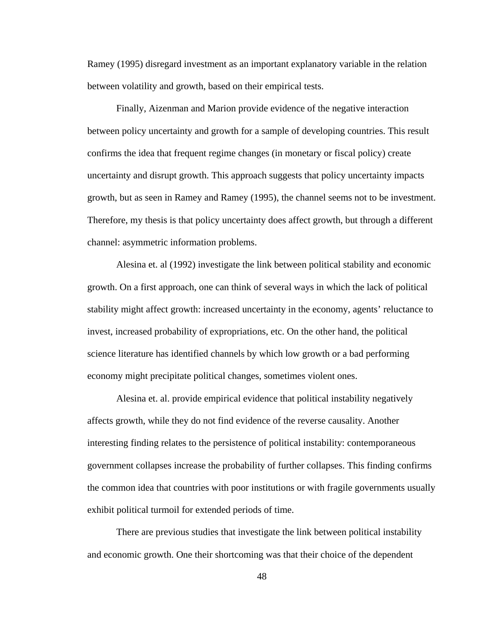Ramey (1995) disregard investment as an important explanatory variable in the relation between volatility and growth, based on their empirical tests.

 Finally, Aizenman and Marion provide evidence of the negative interaction between policy uncertainty and growth for a sample of developing countries. This result confirms the idea that frequent regime changes (in monetary or fiscal policy) create uncertainty and disrupt growth. This approach suggests that policy uncertainty impacts growth, but as seen in Ramey and Ramey (1995), the channel seems not to be investment. Therefore, my thesis is that policy uncertainty does affect growth, but through a different channel: asymmetric information problems.

 Alesina et. al (1992) investigate the link between political stability and economic growth. On a first approach, one can think of several ways in which the lack of political stability might affect growth: increased uncertainty in the economy, agents' reluctance to invest, increased probability of expropriations, etc. On the other hand, the political science literature has identified channels by which low growth or a bad performing economy might precipitate political changes, sometimes violent ones.

 Alesina et. al. provide empirical evidence that political instability negatively affects growth, while they do not find evidence of the reverse causality. Another interesting finding relates to the persistence of political instability: contemporaneous government collapses increase the probability of further collapses. This finding confirms the common idea that countries with poor institutions or with fragile governments usually exhibit political turmoil for extended periods of time.

 There are previous studies that investigate the link between political instability and economic growth. One their shortcoming was that their choice of the dependent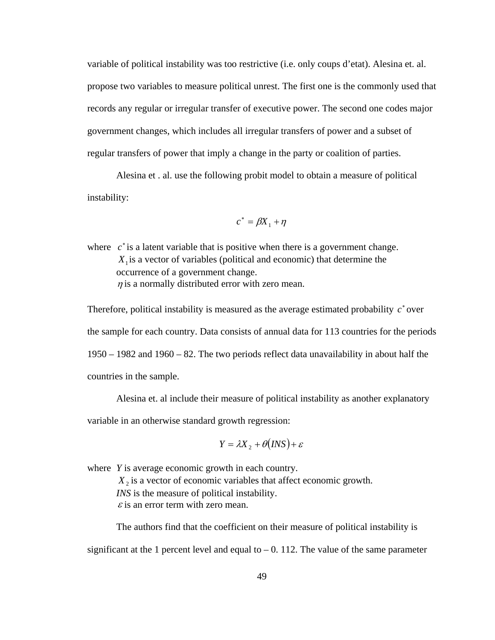variable of political instability was too restrictive (i.e. only coups d'etat). Alesina et. al. propose two variables to measure political unrest. The first one is the commonly used that records any regular or irregular transfer of executive power. The second one codes major government changes, which includes all irregular transfers of power and a subset of regular transfers of power that imply a change in the party or coalition of parties.

 Alesina et . al. use the following probit model to obtain a measure of political instability:

$$
c^*=\beta\!X_1+\eta
$$

where  $c^*$  is a latent variable that is positive when there is a government change.  $X<sub>1</sub>$  is a vector of variables (political and economic) that determine the occurrence of a government change.  $\eta$  is a normally distributed error with zero mean.

Therefore, political instability is measured as the average estimated probability  $c^*$  over the sample for each country. Data consists of annual data for 113 countries for the periods 1950 – 1982 and 1960 – 82. The two periods reflect data unavailability in about half the countries in the sample.

Alesina et. al include their measure of political instability as another explanatory

variable in an otherwise standard growth regression:

$$
Y = \lambda X_2 + \theta \big( \text{INS} \big) + \varepsilon
$$

where *Y* is average economic growth in each country.  $X<sub>2</sub>$  is a vector of economic variables that affect economic growth. *INS* is the measure of political instability.  $\varepsilon$  is an error term with zero mean.

 The authors find that the coefficient on their measure of political instability is significant at the 1 percent level and equal to  $-0$ . 112. The value of the same parameter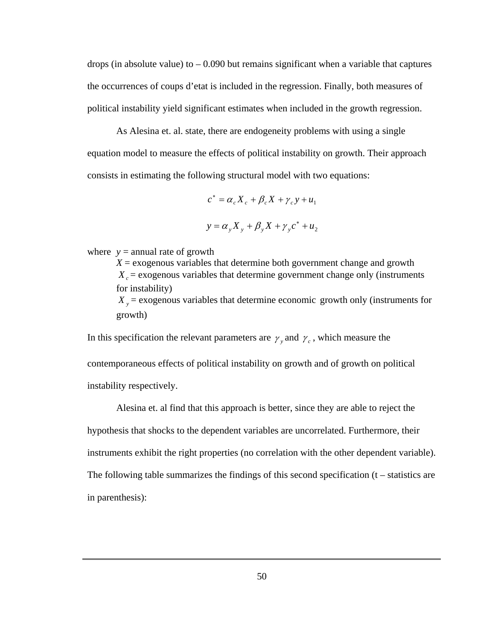drops (in absolute value) to  $-0.090$  but remains significant when a variable that captures the occurrences of coups d'etat is included in the regression. Finally, both measures of political instability yield significant estimates when included in the growth regression.

 As Alesina et. al. state, there are endogeneity problems with using a single equation model to measure the effects of political instability on growth. Their approach consists in estimating the following structural model with two equations:

$$
c^* = \alpha_c X_c + \beta_c X + \gamma_c y + u_1
$$
  

$$
y = \alpha_y X_y + \beta_y X + \gamma_y c^* + u_2
$$

where  $y =$  annual rate of growth

 $X =$  exogenous variables that determine both government change and growth  $X_c$  = exogenous variables that determine government change only (instruments for instability)  $X_y$  = exogenous variables that determine economic growth only (instruments for growth)

In this specification the relevant parameters are  $\gamma$  and  $\gamma_c$ , which measure the contemporaneous effects of political instability on growth and of growth on political instability respectively.

 Alesina et. al find that this approach is better, since they are able to reject the hypothesis that shocks to the dependent variables are uncorrelated. Furthermore, their instruments exhibit the right properties (no correlation with the other dependent variable). The following table summarizes the findings of this second specification (t – statistics are in parenthesis):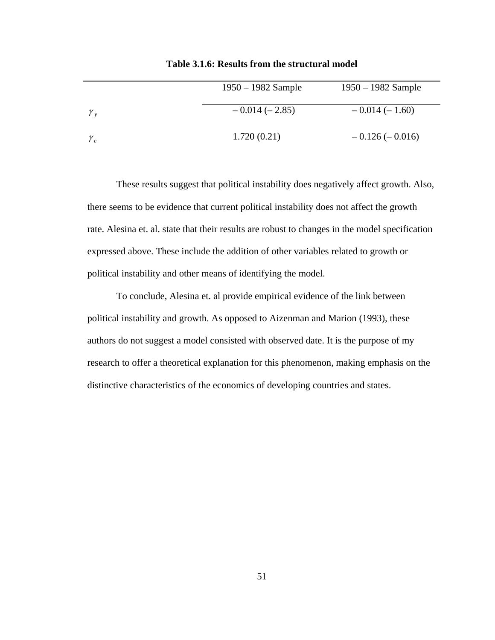|                 | $1950 - 1982$ Sample | $1950 - 1982$ Sample |
|-----------------|----------------------|----------------------|
| $\mathcal{Y}_v$ | $-0.014(-2.85)$      | $-0.014(-1.60)$      |
| $\mathcal{Y}_c$ | 1.720(0.21)          | $-0.126(-0.016)$     |

**Table 3.1.6: Results from the structural model** 

 These results suggest that political instability does negatively affect growth. Also, there seems to be evidence that current political instability does not affect the growth rate. Alesina et. al. state that their results are robust to changes in the model specification expressed above. These include the addition of other variables related to growth or political instability and other means of identifying the model.

 To conclude, Alesina et. al provide empirical evidence of the link between political instability and growth. As opposed to Aizenman and Marion (1993), these authors do not suggest a model consisted with observed date. It is the purpose of my research to offer a theoretical explanation for this phenomenon, making emphasis on the distinctive characteristics of the economics of developing countries and states.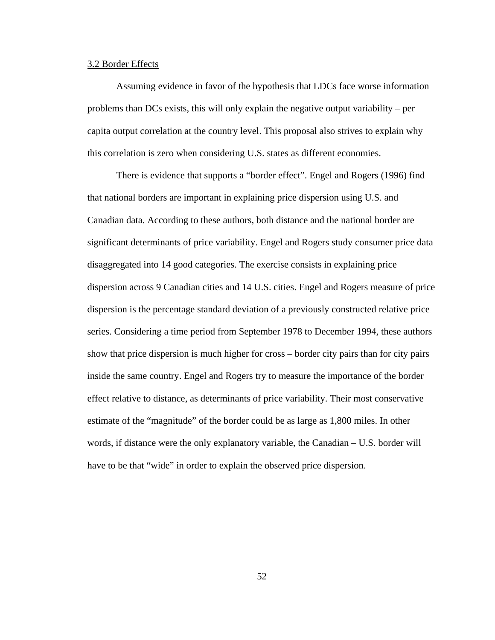## 3.2 Border Effects

 Assuming evidence in favor of the hypothesis that LDCs face worse information problems than DCs exists, this will only explain the negative output variability – per capita output correlation at the country level. This proposal also strives to explain why this correlation is zero when considering U.S. states as different economies.

 There is evidence that supports a "border effect". Engel and Rogers (1996) find that national borders are important in explaining price dispersion using U.S. and Canadian data. According to these authors, both distance and the national border are significant determinants of price variability. Engel and Rogers study consumer price data disaggregated into 14 good categories. The exercise consists in explaining price dispersion across 9 Canadian cities and 14 U.S. cities. Engel and Rogers measure of price dispersion is the percentage standard deviation of a previously constructed relative price series. Considering a time period from September 1978 to December 1994, these authors show that price dispersion is much higher for cross – border city pairs than for city pairs inside the same country. Engel and Rogers try to measure the importance of the border effect relative to distance, as determinants of price variability. Their most conservative estimate of the "magnitude" of the border could be as large as 1,800 miles. In other words, if distance were the only explanatory variable, the Canadian – U.S. border will have to be that "wide" in order to explain the observed price dispersion.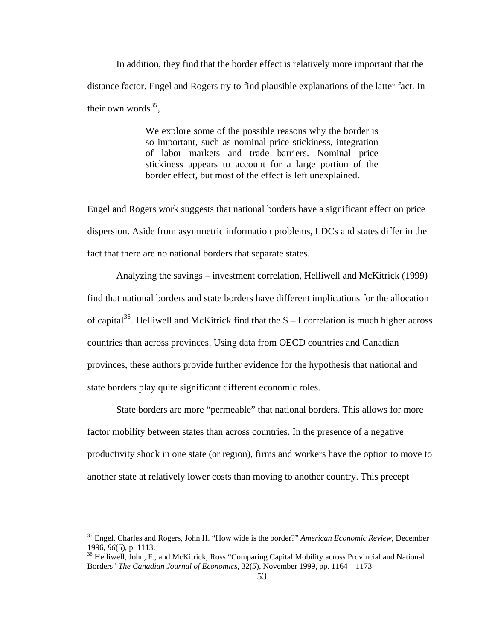In addition, they find that the border effect is relatively more important that the distance factor. Engel and Rogers try to find plausible explanations of the latter fact. In their own words $35$ .

> We explore some of the possible reasons why the border is so important, such as nominal price stickiness, integration of labor markets and trade barriers. Nominal price stickiness appears to account for a large portion of the border effect, but most of the effect is left unexplained.

Engel and Rogers work suggests that national borders have a significant effect on price dispersion. Aside from asymmetric information problems, LDCs and states differ in the fact that there are no national borders that separate states.

 Analyzing the savings – investment correlation, Helliwell and McKitrick (1999) find that national borders and state borders have different implications for the allocation of capital<sup>[36](#page-59-1)</sup>. Helliwell and McKitrick find that the  $S - I$  correlation is much higher across countries than across provinces. Using data from OECD countries and Canadian provinces, these authors provide further evidence for the hypothesis that national and state borders play quite significant different economic roles.

 State borders are more "permeable" that national borders. This allows for more factor mobility between states than across countries. In the presence of a negative productivity shock in one state (or region), firms and workers have the option to move to another state at relatively lower costs than moving to another country. This precept

<span id="page-59-0"></span><sup>35</sup> Engel, Charles and Rogers, John H. "How wide is the border?" *American Economic Review*, December 1996, *86*(5), p. 1113.<br><sup>36</sup> Helliwell, John, F., and McKitrick, Ross "Comparing Capital Mobility across Provincial and National

<span id="page-59-1"></span>Borders" *The Canadian Journal of Economics*, 32(*5*), November 1999, pp. 1164 – 1173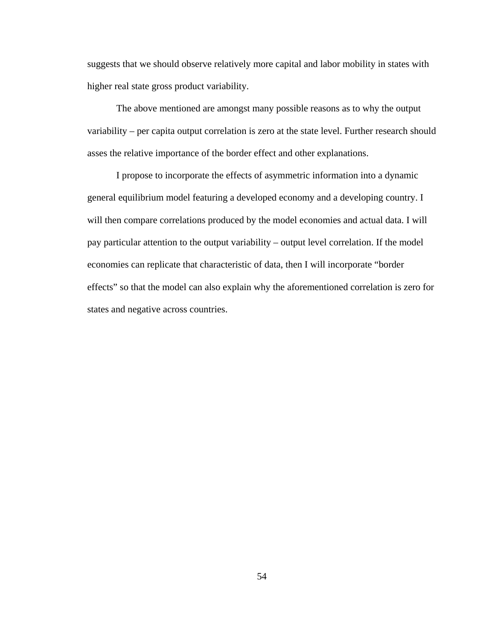suggests that we should observe relatively more capital and labor mobility in states with higher real state gross product variability.

 The above mentioned are amongst many possible reasons as to why the output variability – per capita output correlation is zero at the state level. Further research should asses the relative importance of the border effect and other explanations.

 I propose to incorporate the effects of asymmetric information into a dynamic general equilibrium model featuring a developed economy and a developing country. I will then compare correlations produced by the model economies and actual data. I will pay particular attention to the output variability – output level correlation. If the model economies can replicate that characteristic of data, then I will incorporate "border effects" so that the model can also explain why the aforementioned correlation is zero for states and negative across countries.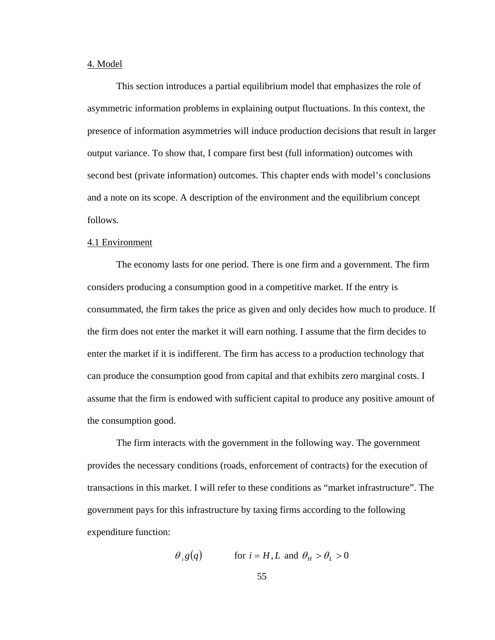## 4. Model

 This section introduces a partial equilibrium model that emphasizes the role of asymmetric information problems in explaining output fluctuations. In this context, the presence of information asymmetries will induce production decisions that result in larger output variance. To show that, I compare first best (full information) outcomes with second best (private information) outcomes. This chapter ends with model's conclusions and a note on its scope. A description of the environment and the equilibrium concept follows.

#### 4.1 Environment

 The economy lasts for one period. There is one firm and a government. The firm considers producing a consumption good in a competitive market. If the entry is consummated, the firm takes the price as given and only decides how much to produce. If the firm does not enter the market it will earn nothing. I assume that the firm decides to enter the market if it is indifferent. The firm has access to a production technology that can produce the consumption good from capital and that exhibits zero marginal costs. I assume that the firm is endowed with sufficient capital to produce any positive amount of the consumption good.

 The firm interacts with the government in the following way. The government provides the necessary conditions (roads, enforcement of contracts) for the execution of transactions in this market. I will refer to these conditions as "market infrastructure". The government pays for this infrastructure by taxing firms according to the following expenditure function:

$$
\theta_i g(q)
$$
 for  $i = H, L$  and  $\theta_H > \theta_L > 0$ 

55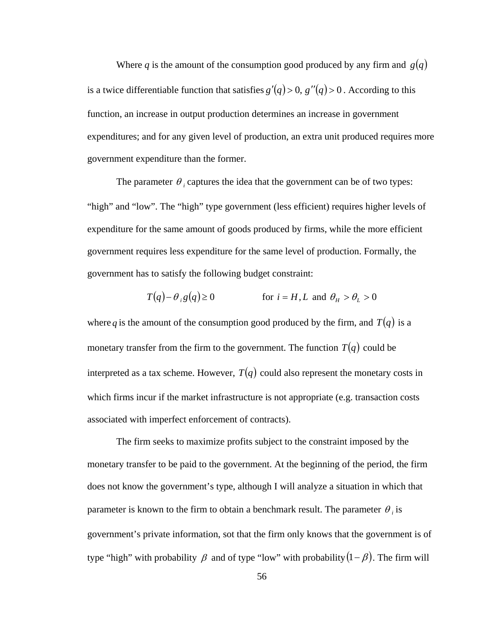Where q is the amount of the consumption good produced by any firm and  $g(q)$ is a twice differentiable function that satisfies  $g'(q) > 0$ ,  $g''(q) > 0$ . According to this function, an increase in output production determines an increase in government expenditures; and for any given level of production, an extra unit produced requires more government expenditure than the former.

The parameter  $\theta$ , captures the idea that the government can be of two types: "high" and "low". The "high" type government (less efficient) requires higher levels of expenditure for the same amount of goods produced by firms, while the more efficient government requires less expenditure for the same level of production. Formally, the government has to satisfy the following budget constraint:

$$
T(q) - \theta_i g(q) \ge 0 \qquad \text{for } i = H, L \text{ and } \theta_H > \theta_L > 0
$$

where q is the amount of the consumption good produced by the firm, and  $T(q)$  is a monetary transfer from the firm to the government. The function  $T(q)$  could be interpreted as a tax scheme. However,  $T(q)$  could also represent the monetary costs in which firms incur if the market infrastructure is not appropriate (e.g. transaction costs associated with imperfect enforcement of contracts).

 The firm seeks to maximize profits subject to the constraint imposed by the monetary transfer to be paid to the government. At the beginning of the period, the firm does not know the government's type, although I will analyze a situation in which that parameter is known to the firm to obtain a benchmark result. The parameter  $\theta_i$  is government's private information, sot that the firm only knows that the government is of type "high" with probability  $\beta$  and of type "low" with probability  $(1 - \beta)$ . The firm will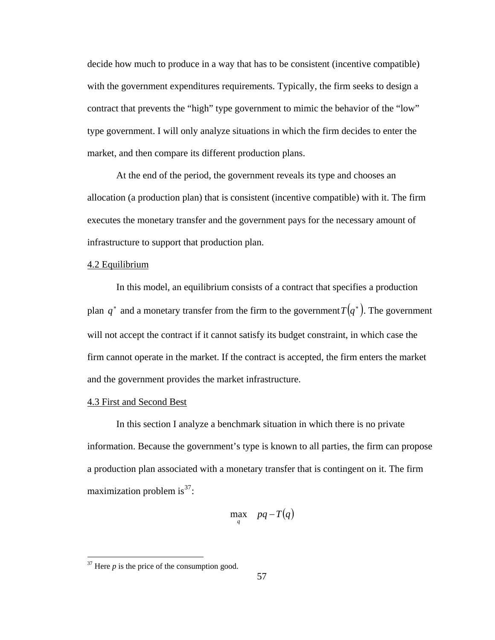decide how much to produce in a way that has to be consistent (incentive compatible) with the government expenditures requirements. Typically, the firm seeks to design a contract that prevents the "high" type government to mimic the behavior of the "low" type government. I will only analyze situations in which the firm decides to enter the market, and then compare its different production plans.

At the end of the period, the government reveals its type and chooses an allocation (a production plan) that is consistent (incentive compatible) with it. The firm executes the monetary transfer and the government pays for the necessary amount of infrastructure to support that production plan.

# 4.2 Equilibrium

In this model, an equilibrium consists of a contract that specifies a production plan  $q^*$  and a monetary transfer from the firm to the government  $T(q^*)$ . The government will not accept the contract if it cannot satisfy its budget constraint, in which case the firm cannot operate in the market. If the contract is accepted, the firm enters the market and the government provides the market infrastructure.

# 4.3 First and Second Best

 In this section I analyze a benchmark situation in which there is no private information. Because the government's type is known to all parties, the firm can propose a production plan associated with a monetary transfer that is contingent on it. The firm maximization problem is  $37$ :

$$
\max_{q} \quad pq - T(q)
$$

<span id="page-63-0"></span> $37$  Here  $p$  is the price of the consumption good.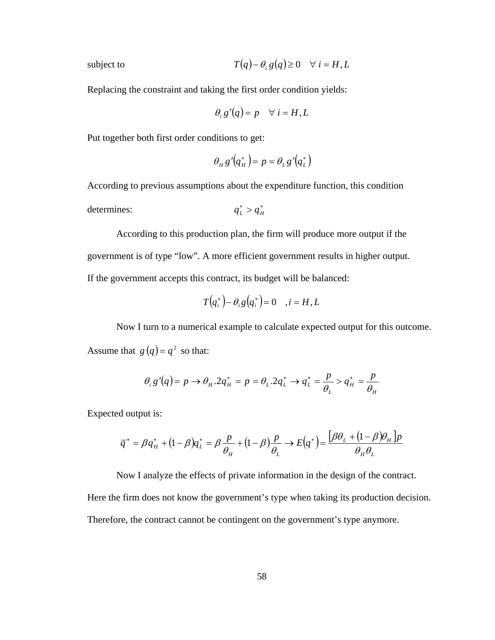subject to 
$$
T(q) - \theta_i g(q) \ge 0 \quad \forall i = H, L
$$

Replacing the constraint and taking the first order condition yields:

$$
\theta_i g'(q) = p \quad \forall i = H, L
$$

Put together both first order conditions to get:

$$
\theta_H g' (q_H^*) = p = \theta_L g' (q_L^*)
$$

According to previous assumptions about the expenditure function, this condition

determines:  $q_L^* > q_H^*$ 

According to this production plan, the firm will produce more output if the government is of type "low". A more efficient government results in higher output. If the government accepts this contract, its budget will be balanced:

$$
T(q_i^*) - \theta_i g(q_i^*) = 0 \quad , i = H, L
$$

Now I turn to a numerical example to calculate expected output for this outcome. Assume that  $g(q) = q^2$  so that:

$$
\theta_i g'(q) = p \rightarrow \theta_H . 2q_H^* = p = \theta_L . 2q_L^* \rightarrow q_L^* = \frac{p}{\theta_L} > q_H^* = \frac{p}{\theta_H}
$$

Expected output is:

$$
\overline{q}^* = \beta q_H^* + (1 - \beta) q_L^* = \beta \frac{p}{\theta_H} + (1 - \beta) \frac{p}{\theta_L} \rightarrow E(q^*) = \frac{\beta \theta_L + (1 - \beta) \theta_H \cdot p}{\theta_H \theta_L}
$$

 Now I analyze the effects of private information in the design of the contract. Here the firm does not know the government's type when taking its production decision.

Therefore, the contract cannot be contingent on the government's type anymore.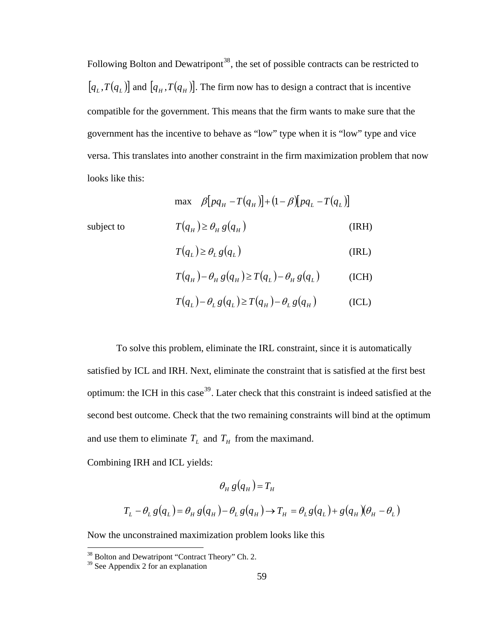$[q_L, T(q_L)]$  and  $[q_H, T(q_H)]$ . The firm now has to design a contract that is incentive Following Bolton and Dewatripont<sup>[38](#page-65-0)</sup>, the set of possible contracts can be restricted to compatible for the government. This means that the firm wants to make sure that the government has the incentive to behave as "low" type when it is "low" type and vice versa. This translates into another constraint in the firm maximization problem that now looks like this:

$$
\max \quad \beta[pq_H - T(q_H)] + (1 - \beta)[pq_L - T(q_L)]
$$
\n
$$
\text{subject to} \quad T(q_H) \ge \theta_H g(q_H) \quad (\text{IRH})
$$
\n
$$
T(q_L) \ge \theta_L g(q_L) \quad (\text{IRL})
$$
\n
$$
T(q_H) - \theta_H g(q_H) \ge T(q_L) - \theta_H g(q_L) \quad (\text{ICH})
$$

$$
T(q_L) - \theta_L g(q_L) \ge T(q_H) - \theta_L g(q_H)
$$
 (ICL)

subject to

 To solve this problem, eliminate the IRL constraint, since it is automatically satisfied by ICL and IRH. Next, eliminate the constraint that is satisfied at the first best optimum: the ICH in this case<sup>[39](#page-65-1)</sup>. Later check that this constraint is indeed satisfied at the second best outcome. Check that the two remaining constraints will bind at the optimum and use them to eliminate  $T<sub>L</sub>$  and  $T<sub>H</sub>$  from the maximand.

Combining IRH and ICL yields:

$$
\theta_H g(q_H) = T_H
$$
  

$$
T_L - \theta_L g(q_L) = \theta_H g(q_H) - \theta_L g(q_H) \rightarrow T_H = \theta_L g(q_L) + g(q_H) (\theta_H - \theta_L)
$$

Now the unconstrained maximization problem looks like this

<span id="page-65-1"></span><span id="page-65-0"></span><sup>&</sup>lt;sup>38</sup> Bolton and Dewatripont "Contract Theory" Ch. 2.

<sup>&</sup>lt;sup>39</sup> See Appendix 2 for an explanation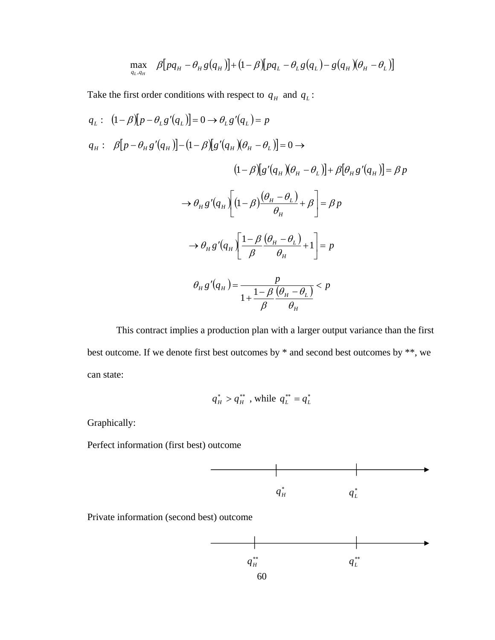$$
\max_{q_L,q_H} \quad \beta[pq_H - \theta_H g(q_H)] + (1-\beta)[pq_L - \theta_L g(q_L) - g(q_H)(\theta_H - \theta_L)]
$$

Take the first order conditions with respect to  $q_H$  and  $q_L$ :

$$
q_{L}: (1-\beta)[p - \theta_{L}g'(q_{L})] = 0 \rightarrow \theta_{L}g'(q_{L}) = p
$$
  
\n
$$
q_{H}: \beta[p - \theta_{H}g'(q_{H})] - (1-\beta)[g'(q_{H})(\theta_{H} - \theta_{L})] = 0 \rightarrow
$$
  
\n
$$
(1-\beta)[g'(q_{H})(\theta_{H} - \theta_{L})] + \beta[\theta_{H}g'(q_{H})] = \beta p
$$
  
\n
$$
\rightarrow \theta_{H}g'(q_{H}) \left[ (1-\beta)\frac{(\theta_{H} - \theta_{L})}{\theta_{H}} + \beta \right] = \beta p
$$
  
\n
$$
\rightarrow \theta_{H}g'(q_{H}) \left[ \frac{1-\beta(\theta_{H} - \theta_{L})}{\beta} + 1 \right] = p
$$
  
\n
$$
\theta_{H}g'(q_{H}) = \frac{p}{1 + \frac{1-\beta(\theta_{H} - \theta_{L})}{\beta}} < p
$$

 This contract implies a production plan with a larger output variance than the first best outcome. If we denote first best outcomes by  $*$  and second best outcomes by  $**$ , we can state:

$$
q_H^* > q_H^{**}
$$
, while  $q_L^{**} = q_L^*$ 

Graphically:

Perfect information (first best) outcome



Private information (second best) outcome

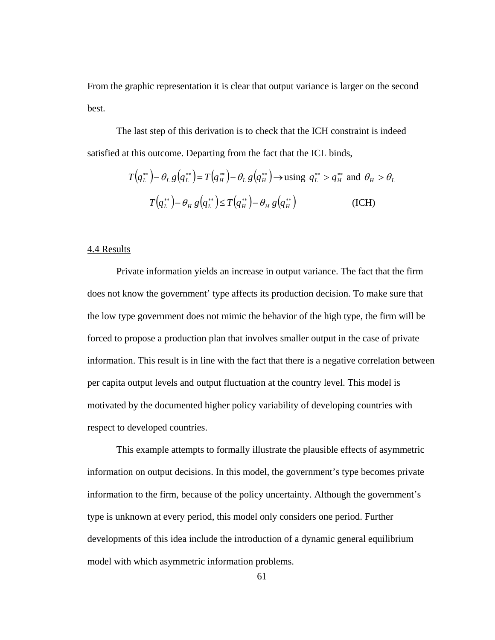From the graphic representation it is clear that output variance is larger on the second best.

The last step of this derivation is to check that the ICH constraint is indeed satisfied at this outcome. Departing from the fact that the ICL binds,

$$
T(q_L^{**}) - \theta_L g(q_L^{**}) = T(q_H^{**}) - \theta_L g(q_H^{**}) \to \text{using } q_L^{**} > q_H^{**} \text{ and } \theta_H > \theta_L
$$
  

$$
T(q_L^{**}) - \theta_H g(q_L^{**}) \le T(q_H^{**}) - \theta_H g(q_H^{**})
$$
(ICH)

#### 4.4 Results

 Private information yields an increase in output variance. The fact that the firm does not know the government' type affects its production decision. To make sure that the low type government does not mimic the behavior of the high type, the firm will be forced to propose a production plan that involves smaller output in the case of private information. This result is in line with the fact that there is a negative correlation between per capita output levels and output fluctuation at the country level. This model is motivated by the documented higher policy variability of developing countries with respect to developed countries.

 This example attempts to formally illustrate the plausible effects of asymmetric information on output decisions. In this model, the government's type becomes private information to the firm, because of the policy uncertainty. Although the government's type is unknown at every period, this model only considers one period. Further developments of this idea include the introduction of a dynamic general equilibrium model with which asymmetric information problems.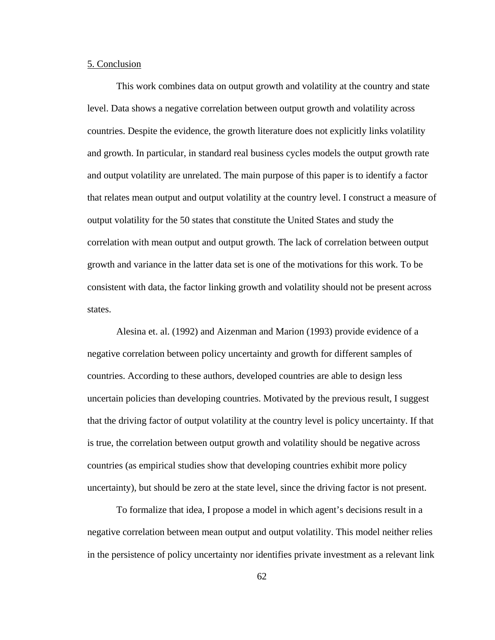## 5. Conclusion

 This work combines data on output growth and volatility at the country and state level. Data shows a negative correlation between output growth and volatility across countries. Despite the evidence, the growth literature does not explicitly links volatility and growth. In particular, in standard real business cycles models the output growth rate and output volatility are unrelated. The main purpose of this paper is to identify a factor that relates mean output and output volatility at the country level. I construct a measure of output volatility for the 50 states that constitute the United States and study the correlation with mean output and output growth. The lack of correlation between output growth and variance in the latter data set is one of the motivations for this work. To be consistent with data, the factor linking growth and volatility should not be present across states.

 Alesina et. al. (1992) and Aizenman and Marion (1993) provide evidence of a negative correlation between policy uncertainty and growth for different samples of countries. According to these authors, developed countries are able to design less uncertain policies than developing countries. Motivated by the previous result, I suggest that the driving factor of output volatility at the country level is policy uncertainty. If that is true, the correlation between output growth and volatility should be negative across countries (as empirical studies show that developing countries exhibit more policy uncertainty), but should be zero at the state level, since the driving factor is not present.

 To formalize that idea, I propose a model in which agent's decisions result in a negative correlation between mean output and output volatility. This model neither relies in the persistence of policy uncertainty nor identifies private investment as a relevant link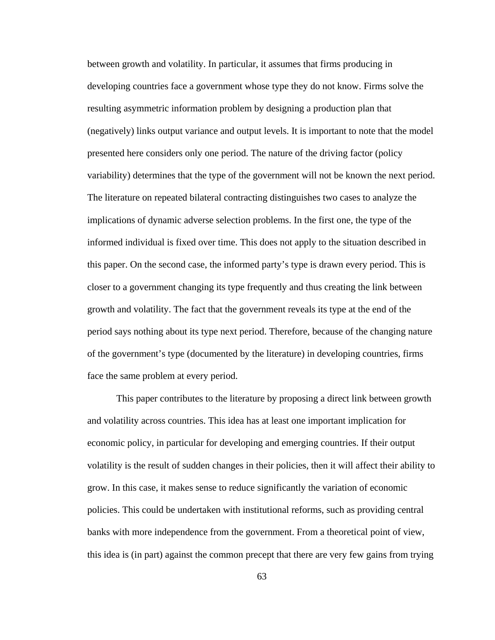between growth and volatility. In particular, it assumes that firms producing in developing countries face a government whose type they do not know. Firms solve the resulting asymmetric information problem by designing a production plan that (negatively) links output variance and output levels. It is important to note that the model presented here considers only one period. The nature of the driving factor (policy variability) determines that the type of the government will not be known the next period. The literature on repeated bilateral contracting distinguishes two cases to analyze the implications of dynamic adverse selection problems. In the first one, the type of the informed individual is fixed over time. This does not apply to the situation described in this paper. On the second case, the informed party's type is drawn every period. This is closer to a government changing its type frequently and thus creating the link between growth and volatility. The fact that the government reveals its type at the end of the period says nothing about its type next period. Therefore, because of the changing nature of the government's type (documented by the literature) in developing countries, firms face the same problem at every period.

 This paper contributes to the literature by proposing a direct link between growth and volatility across countries. This idea has at least one important implication for economic policy, in particular for developing and emerging countries. If their output volatility is the result of sudden changes in their policies, then it will affect their ability to grow. In this case, it makes sense to reduce significantly the variation of economic policies. This could be undertaken with institutional reforms, such as providing central banks with more independence from the government. From a theoretical point of view, this idea is (in part) against the common precept that there are very few gains from trying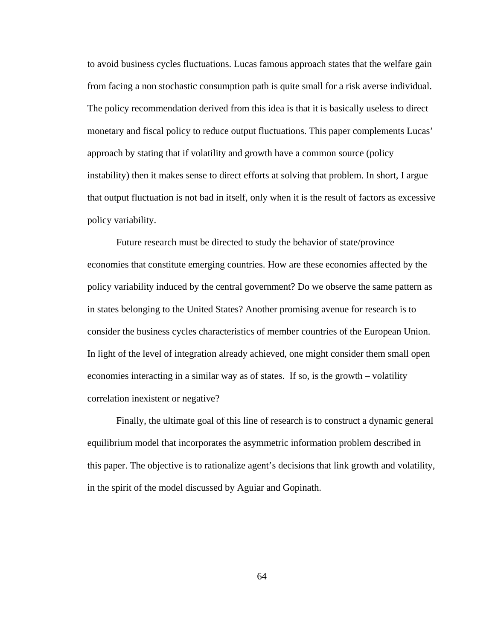to avoid business cycles fluctuations. Lucas famous approach states that the welfare gain from facing a non stochastic consumption path is quite small for a risk averse individual. The policy recommendation derived from this idea is that it is basically useless to direct monetary and fiscal policy to reduce output fluctuations. This paper complements Lucas' approach by stating that if volatility and growth have a common source (policy instability) then it makes sense to direct efforts at solving that problem. In short, I argue that output fluctuation is not bad in itself, only when it is the result of factors as excessive policy variability.

 Future research must be directed to study the behavior of state/province economies that constitute emerging countries. How are these economies affected by the policy variability induced by the central government? Do we observe the same pattern as in states belonging to the United States? Another promising avenue for research is to consider the business cycles characteristics of member countries of the European Union. In light of the level of integration already achieved, one might consider them small open economies interacting in a similar way as of states. If so, is the growth – volatility correlation inexistent or negative?

 Finally, the ultimate goal of this line of research is to construct a dynamic general equilibrium model that incorporates the asymmetric information problem described in this paper. The objective is to rationalize agent's decisions that link growth and volatility, in the spirit of the model discussed by Aguiar and Gopinath.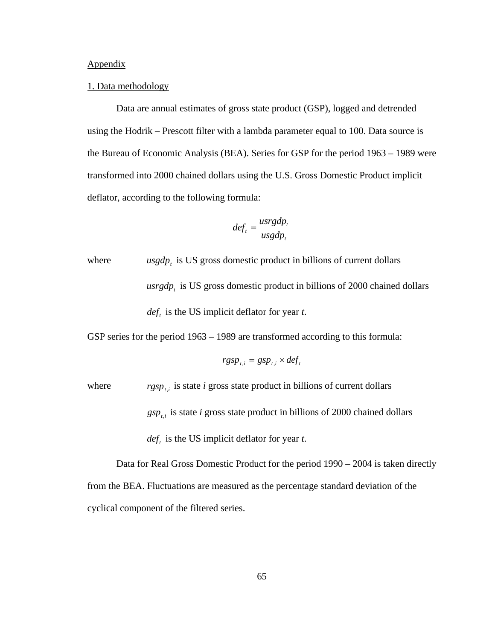# Appendix

### 1. Data methodology

 Data are annual estimates of gross state product (GSP), logged and detrended using the Hodrik – Prescott filter with a lambda parameter equal to 100. Data source is the Bureau of Economic Analysis (BEA). Series for GSP for the period 1963 – 1989 were transformed into 2000 chained dollars using the U.S. Gross Domestic Product implicit deflator, according to the following formula:

$$
def_{t} = \frac{usrgdp_{t}}{usgdp_{t}}
$$

where  $usgdp_t$  is US gross domestic product in billions of current dollars usrgdp, is US gross domestic product in billions of 2000 chained dollars  $def<sub>t</sub>$  is the US implicit deflator for year *t*.

GSP series for the period 1963 – 1989 are transformed according to this formula:

$$
rgsp_{t,i} = gsp_{t,i} \times def_t
$$

where  $rgsp_{t,i}$  is state *i* gross state product in billions of current dollars

 $gsp_{t,i}$  is state *i* gross state product in billions of 2000 chained dollars

 $def<sub>t</sub>$  is the US implicit deflator for year *t*.

 Data for Real Gross Domestic Product for the period 1990 – 2004 is taken directly from the BEA. Fluctuations are measured as the percentage standard deviation of the cyclical component of the filtered series.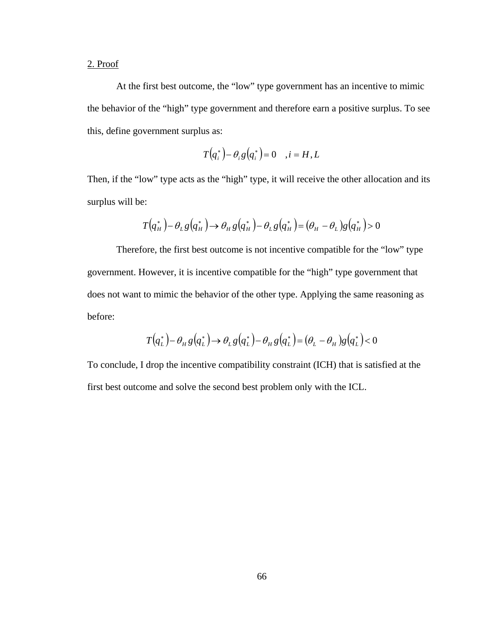## 2. Proof

 At the first best outcome, the "low" type government has an incentive to mimic the behavior of the "high" type government and therefore earn a positive surplus. To see this, define government surplus as:

$$
T(q_i^*) - \theta_i g(q_i^*) = 0 \quad , i = H, L
$$

Then, if the "low" type acts as the "high" type, it will receive the other allocation and its surplus will be:

$$
T(q_H^*) - \theta_L g(q_H^*) \rightarrow \theta_H g(q_H^*) - \theta_L g(q_H^*) = (\theta_H - \theta_L)g(q_H^*) > 0
$$

Therefore, the first best outcome is not incentive compatible for the "low" type government. However, it is incentive compatible for the "high" type government that does not want to mimic the behavior of the other type. Applying the same reasoning as before:

$$
T(q_L^*) - \theta_H g(q_L^*) \rightarrow \theta_L g(q_L^*) - \theta_H g(q_L^*) = (\theta_L - \theta_H)g(q_L^*) < 0
$$

To conclude, I drop the incentive compatibility constraint (ICH) that is satisfied at the first best outcome and solve the second best problem only with the ICL.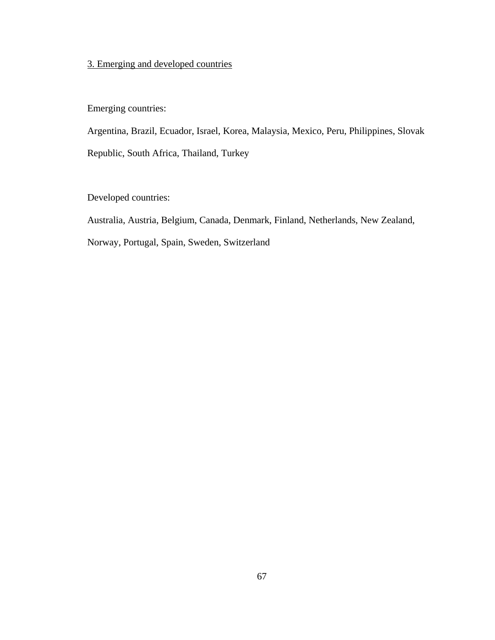## 3. Emerging and developed countries

Emerging countries:

Argentina, Brazil, Ecuador, Israel, Korea, Malaysia, Mexico, Peru, Philippines, Slovak Republic, South Africa, Thailand, Turkey

Developed countries:

Australia, Austria, Belgium, Canada, Denmark, Finland, Netherlands, New Zealand,

Norway, Portugal, Spain, Sweden, Switzerland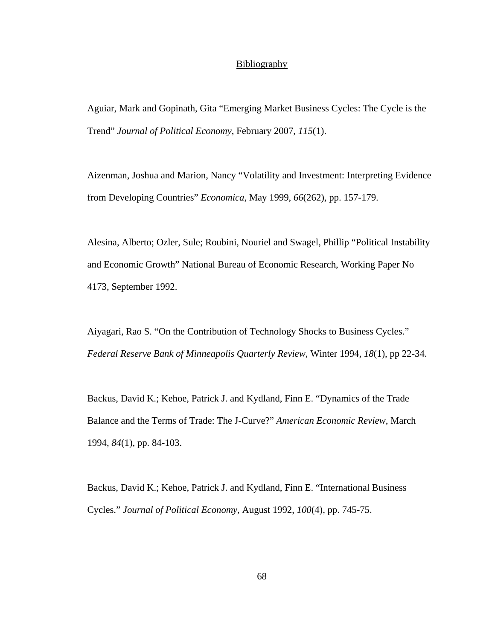## **Bibliography**

Aguiar, Mark and Gopinath, Gita "Emerging Market Business Cycles: The Cycle is the Trend" *Journal of Political Economy*, February 2007, *115*(1).

Aizenman, Joshua and Marion, Nancy "Volatility and Investment: Interpreting Evidence from Developing Countries" *Economica*, May 1999, *66*(262), pp. 157-179.

Alesina, Alberto; Ozler, Sule; Roubini, Nouriel and Swagel, Phillip "Political Instability and Economic Growth" National Bureau of Economic Research, Working Paper No 4173, September 1992.

Aiyagari, Rao S. "On the Contribution of Technology Shocks to Business Cycles." *Federal Reserve Bank of Minneapolis Quarterly Review,* Winter 1994, *18*(1), pp 22-34.

Backus, David K.; Kehoe, Patrick J. and Kydland, Finn E. "Dynamics of the Trade Balance and the Terms of Trade: The J-Curve?" *American Economic Review*, March 1994, *84*(1), pp. 84-103.

Backus, David K.; Kehoe, Patrick J. and Kydland, Finn E. "International Business Cycles." *Journal of Political Economy*, August 1992, *100*(4), pp. 745-75.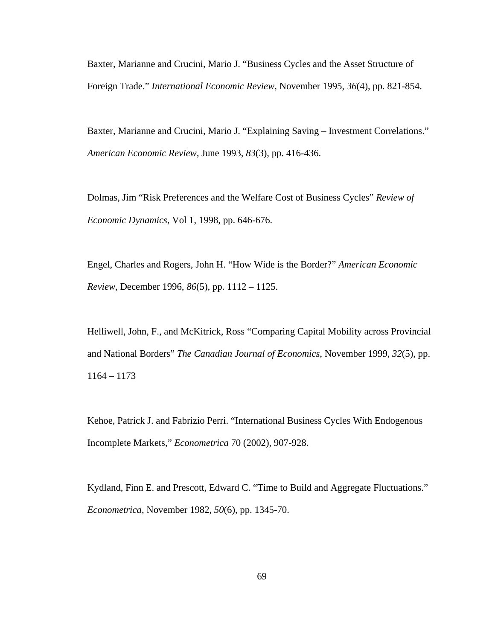Baxter, Marianne and Crucini, Mario J. "Business Cycles and the Asset Structure of Foreign Trade." *International Economic Review,* November 1995, *36*(4), pp. 821-854.

Baxter, Marianne and Crucini, Mario J. "Explaining Saving – Investment Correlations." *American Economic Review,* June 1993, *83*(3), pp. 416-436.

Dolmas, Jim "Risk Preferences and the Welfare Cost of Business Cycles" *Review of Economic Dynamics*, Vol 1, 1998, pp. 646-676.

Engel, Charles and Rogers, John H. "How Wide is the Border?" *American Economic Review*, December 1996, *86*(5), pp. 1112 – 1125.

Helliwell, John, F., and McKitrick, Ross "Comparing Capital Mobility across Provincial and National Borders" *The Canadian Journal of Economics*, November 1999, *32*(5), pp. 1164 – 1173

Kehoe, Patrick J. and Fabrizio Perri. "International Business Cycles With Endogenous Incomplete Markets," *Econometrica* 70 (2002), 907-928.

Kydland, Finn E. and Prescott, Edward C. "Time to Build and Aggregate Fluctuations." *Econometrica*, November 1982, *50*(6), pp. 1345-70.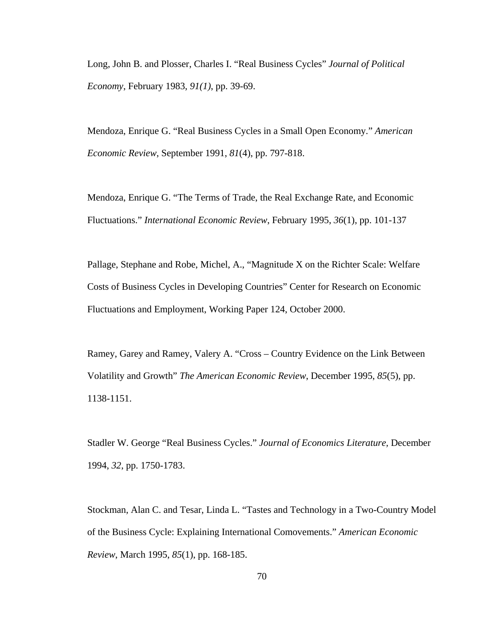Long, John B. and Plosser, Charles I. "Real Business Cycles" *Journal of Political Economy*, February 1983, *91(1)*, pp. 39-69.

Mendoza, Enrique G. "Real Business Cycles in a Small Open Economy." *American Economic Review*, September 1991, *81*(4), pp. 797-818.

Mendoza, Enrique G. "The Terms of Trade, the Real Exchange Rate, and Economic Fluctuations." *International Economic Review*, February 1995, *36*(1), pp. 101-137

Pallage, Stephane and Robe, Michel, A., "Magnitude X on the Richter Scale: Welfare Costs of Business Cycles in Developing Countries" Center for Research on Economic Fluctuations and Employment, Working Paper 124, October 2000.

Ramey, Garey and Ramey, Valery A. "Cross – Country Evidence on the Link Between Volatility and Growth" *The American Economic Review*, December 1995, *85*(5), pp. 1138-1151.

Stadler W. George "Real Business Cycles." *Journal of Economics Literature,* December 1994, *32*, pp. 1750-1783.

Stockman, Alan C. and Tesar, Linda L. "Tastes and Technology in a Two-Country Model of the Business Cycle: Explaining International Comovements." *American Economic Review*, March 1995, *85*(1), pp. 168-185.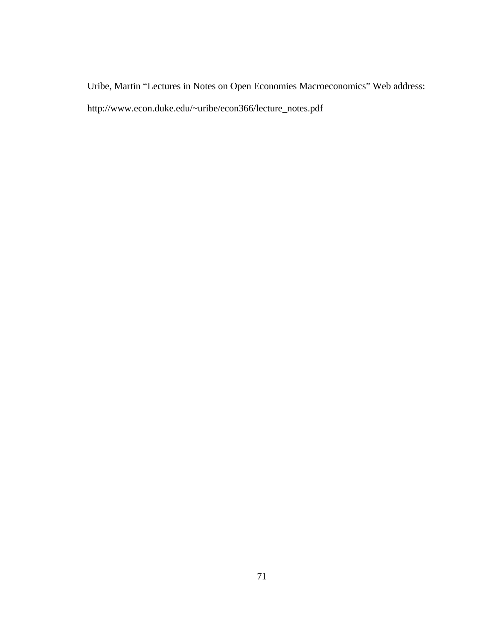Uribe, Martin "Lectures in Notes on Open Economies Macroeconomics" Web address: http://www.econ.duke.edu/~uribe/econ366/lecture\_notes.pdf